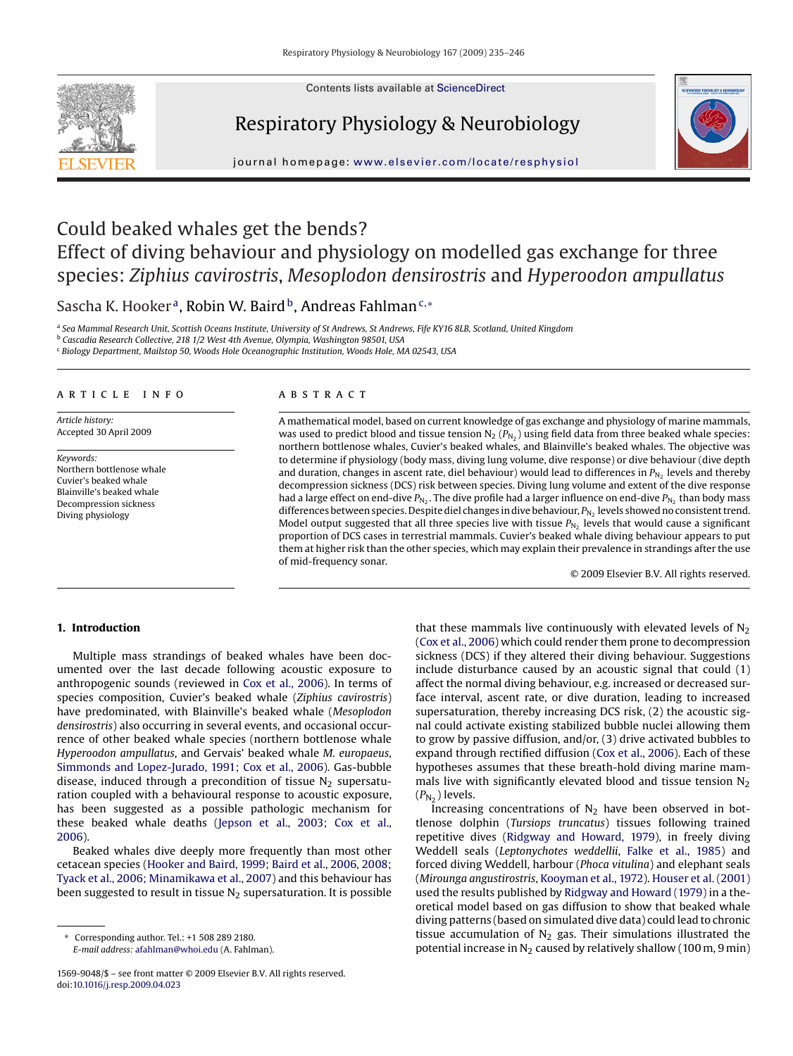Contents lists available at [ScienceDirect](http://www.sciencedirect.com/science/journal/15699048)



# Respiratory Physiology & Neurobiology



journal homepage: [www.elsevier.com/locate/resphysiol](http://www.elsevier.com/locate/resphysiol)

# Could beaked whales get the bends? Effect of diving behaviour and physiology on modelled gas exchange for three species: *Ziphius cavirostris*, *Mesoplodon densirostris* and *Hyperoodon ampullatus*

# Sascha K. Hooker<sup>a</sup>, Robin W. Baird<sup>b</sup>, Andreas Fahlman<sup>c,\*</sup>

<sup>a</sup> *Sea Mammal Research Unit, Scottish Oceans Institute, University of St Andrews, St Andrews, Fife KY16 8LB, Scotland, United Kingdom* <sup>b</sup> *Cascadia Research Collective, 218 1/2 West 4th Avenue, Olympia, Washington 98501, USA*

<sup>c</sup> *Biology Department, Mailstop 50, Woods Hole Oceanographic Institution, Woods Hole, MA 02543, USA*

#### article info

*Article history:* Accepted 30 April 2009

*Keywords:* Northern bottlenose whale Cuvier's beaked whale Blainville's beaked whale Decompression sickness Diving physiology

## **ABSTRACT**

A mathematical model, based on current knowledge of gas exchange and physiology of marine mammals, was used to predict blood and tissue tension  $N_2$  ( $P_{N_2}$ ) using field data from three beaked whale species: northern bottlenose whales, Cuvier's beaked whales, and Blainville's beaked whales. The objective was to determine if physiology (body mass, diving lung volume, dive response) or dive behaviour (dive depth and duration, changes in ascent rate, diel behaviour) would lead to differences in  $P_{N<sub>2</sub>}$  levels and thereby decompression sickness (DCS) risk between species. Diving lung volume and extent of the dive response had a large effect on end-dive  $P_{N<sub>2</sub>}$ . The dive profile had a larger influence on end-dive  $P_{N<sub>2</sub>}$  than body mass differences between species. Despite diel changes in dive behaviour,  $P_{N_2}$  levels showed no consistent trend. Model output suggested that all three species live with tissue  $P_{N_2}$  levels that would cause a significant proportion of DCS cases in terrestrial mammals. Cuvier's beaked whale diving behaviour appears to put them at higher risk than the other species, which may explain their prevalence in strandings after the use of mid-frequency sonar.

© 2009 Elsevier B.V. All rights reserved.

# **1. Introduction**

Multiple mass strandings of beaked whales have been documented over the last decade following acoustic exposure to anthropogenic sounds (reviewed in [Cox et al., 2006\).](#page-10-0) In terms of species composition, Cuvier's beaked whale (*Ziphius cavirostris*) have predominated, with Blainville's beaked whale (*Mesoplodon densirostris*) also occurring in several events, and occasional occurrence of other beaked whale species (northern bottlenose whale *Hyperoodon ampullatus*, and Gervais' beaked whale *M. europaeus*, [Simmonds and Lopez-Jurado, 1991; Cox et al., 2006\).](#page-11-0) Gas-bubble disease, induced through a precondition of tissue  $N<sub>2</sub>$  supersaturation coupled with a behavioural response to acoustic exposure, has been suggested as a possible pathologic mechanism for these beaked whale deaths [\(Jepson et al., 2003; Cox et al.,](#page-10-0) [2006\).](#page-10-0)

Beaked whales dive deeply more frequently than most other cetacean species ([Hooker and Baird, 1999; Baird et al., 2006, 2008;](#page-10-0) [Tyack et al., 2006; Minamikawa et al., 2007\)](#page-10-0) and this behaviour has been suggested to result in tissue  $N_2$  supersaturation. It is possible

that these mammals live continuously with elevated levels of  $N_2$ [\(Cox et al., 2006\) w](#page-10-0)hich could render them prone to decompression sickness (DCS) if they altered their diving behaviour. Suggestions include disturbance caused by an acoustic signal that could (1) affect the normal diving behaviour, e.g. increased or decreased surface interval, ascent rate, or dive duration, leading to increased supersaturation, thereby increasing DCS risk, (2) the acoustic signal could activate existing stabilized bubble nuclei allowing them to grow by passive diffusion, and/or, (3) drive activated bubbles to expand through rectified diffusion [\(Cox et al., 2006\).](#page-10-0) Each of these hypotheses assumes that these breath-hold diving marine mammals live with significantly elevated blood and tissue tension  $N_2$  $(P_{N_2})$  levels.

Increasing concentrations of  $N_2$  have been observed in bottlenose dolphin (*Tursiops truncatus*) tissues following trained repetitive dives ([Ridgway and Howard, 1979\),](#page-11-0) in freely diving Weddell seals (*Leptonychotes weddellii*, [Falke et al., 1985\)](#page-10-0) and forced diving Weddell, harbour (*Phoca vitulina*) and elephant seals (*Mirounga angustirostris*, [Kooyman et al., 1972\).](#page-10-0) [Houser et al. \(2001\)](#page-10-0) used the results published by [Ridgway and Howard \(1979\)](#page-11-0) in a theoretical model based on gas diffusion to show that beaked whale diving patterns (based on simulated dive data) could lead to chronic tissue accumulation of  $N_2$  gas. Their simulations illustrated the potential increase in  $N_2$  caused by relatively shallow (100 m, 9 min)

<sup>∗</sup> Corresponding author. Tel.: +1 508 289 2180. *E-mail address:* [afahlman@whoi.edu](mailto:afahlman@whoi.edu) (A. Fahlman).

<sup>1569-9048/\$ –</sup> see front matter © 2009 Elsevier B.V. All rights reserved. doi:[10.1016/j.resp.2009.04.023](dx.doi.org/10.1016/j.resp.2009.04.023)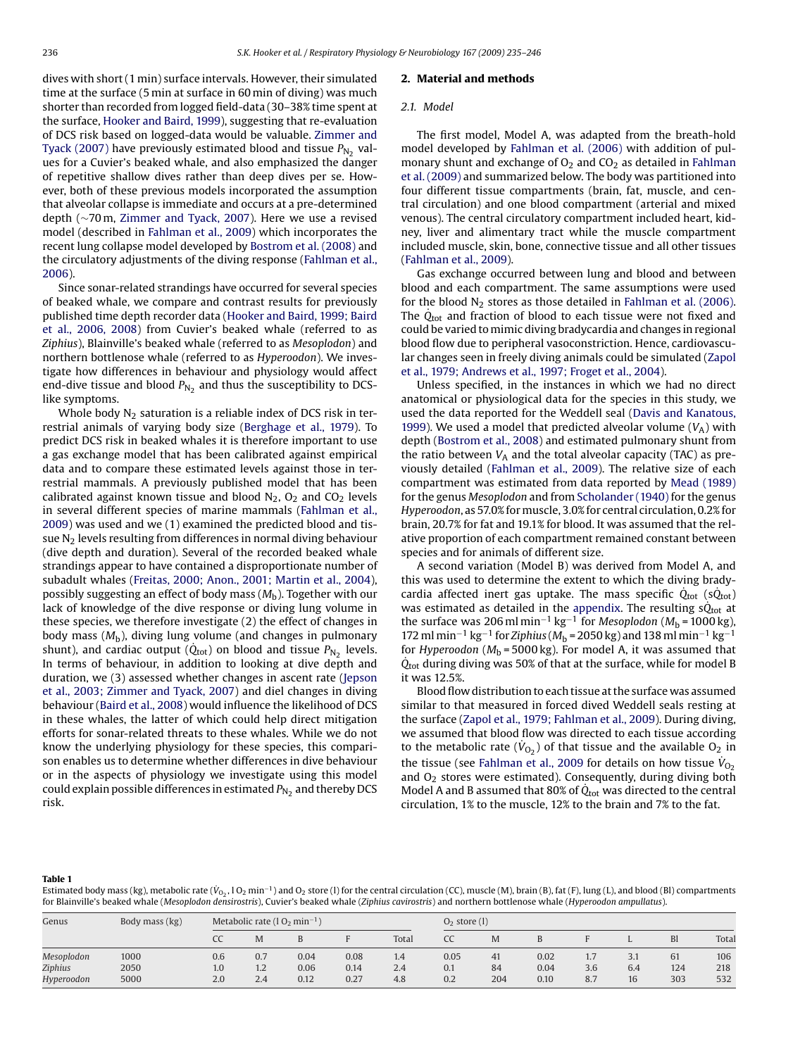<span id="page-1-0"></span>dives with short (1 min) surface intervals. However, their simulated time at the surface (5 min at surface in 60 min of diving) was much shorter than recorded from logged field-data (30–38% time spent at the surface, [Hooker and Baird, 1999\),](#page-10-0) suggesting that re-evaluation of DCS risk based on logged-data would be valuable. [Zimmer and](#page-11-0) [Tyack \(2007\)](#page-11-0) have previously estimated blood and tissue  $P_{N_2}$  values for a Cuvier's beaked whale, and also emphasized the danger of repetitive shallow dives rather than deep dives per se. However, both of these previous models incorporated the assumption that alveolar collapse is immediate and occurs at a pre-determined depth (∼70 m, [Zimmer and Tyack, 2007\).](#page-11-0) Here we use a revised model (described in [Fahlman et al., 2009\)](#page-10-0) which incorporates the recent lung collapse model developed by [Bostrom et al. \(2008\)](#page-10-0) and the circulatory adjustments of the diving response [\(Fahlman et al.,](#page-10-0) [2006\).](#page-10-0)

Since sonar-related strandings have occurred for several species of beaked whale, we compare and contrast results for previously published time depth recorder data ([Hooker and Baird, 1999; Baird](#page-10-0) [et al., 2006, 2008\)](#page-10-0) from Cuvier's beaked whale (referred to as *Ziphius*), Blainville's beaked whale (referred to as *Mesoplodon*) and northern bottlenose whale (referred to as *Hyperoodon*). We investigate how differences in behaviour and physiology would affect end-dive tissue and blood  $P_{N_2}$  and thus the susceptibility to DCSlike symptoms.

Whole body  $N_2$  saturation is a reliable index of DCS risk in terrestrial animals of varying body size [\(Berghage et al., 1979\).](#page-10-0) To predict DCS risk in beaked whales it is therefore important to use a gas exchange model that has been calibrated against empirical data and to compare these estimated levels against those in terrestrial mammals. A previously published model that has been calibrated against known tissue and blood  $N_2$ ,  $O_2$  and  $CO_2$  levels in several different species of marine mammals ([Fahlman et al.,](#page-10-0) [2009\)](#page-10-0) was used and we (1) examined the predicted blood and tissue  $N<sub>2</sub>$  levels resulting from differences in normal diving behaviour (dive depth and duration). Several of the recorded beaked whale strandings appear to have contained a disproportionate number of subadult whales [\(Freitas, 2000; Anon., 2001; Martin et al., 2004\),](#page-10-0) possibly suggesting an effect of body mass (*M*b). Together with our lack of knowledge of the dive response or diving lung volume in these species, we therefore investigate (2) the effect of changes in body mass (*M*b), diving lung volume (and changes in pulmonary shunt), and cardiac output ( $\dot{Q}_{\text{tot}}$ ) on blood and tissue  $P_{N_2}$  levels. In terms of behaviour, in addition to looking at dive depth and duration, we (3) assessed whether changes in ascent rate [\(Jepson](#page-10-0) [et al., 2003; Zimmer and Tyack, 2007\)](#page-10-0) and diel changes in diving behaviour [\(Baird et al., 2008\) w](#page-10-0)ould influence the likelihood of DCS in these whales, the latter of which could help direct mitigation efforts for sonar-related threats to these whales. While we do not know the underlying physiology for these species, this comparison enables us to determine whether differences in dive behaviour or in the aspects of physiology we investigate using this model could explain possible differences in estimated  $P_{N_2}$  and thereby DCS risk.

#### **2. Material and methods**

#### *2.1. Model*

The first model, Model A, was adapted from the breath-hold model developed by [Fahlman et al. \(2006\)](#page-10-0) with addition of pulmonary shunt and exchange of  $O<sub>2</sub>$  and  $CO<sub>2</sub>$  as detailed in [Fahlman](#page-10-0) [et al. \(2009\)](#page-10-0) and summarized below. The body was partitioned into four different tissue compartments (brain, fat, muscle, and central circulation) and one blood compartment (arterial and mixed venous). The central circulatory compartment included heart, kidney, liver and alimentary tract while the muscle compartment included muscle, skin, bone, connective tissue and all other tissues [\(Fahlman et al., 2009\).](#page-10-0)

Gas exchange occurred between lung and blood and between blood and each compartment. The same assumptions were used for the blood  $N_2$  stores as those detailed in [Fahlman et al. \(2006\).](#page-10-0) The  $\dot{Q}_{\text{tot}}$  and fraction of blood to each tissue were not fixed and could be varied to mimic diving bradycardia and changes in regional blood flow due to peripheral vasoconstriction. Hence, cardiovascular changes seen in freely diving animals could be simulated ([Zapol](#page-11-0) [et al., 1979; Andrews et al., 1997; Froget et al., 2004\).](#page-11-0)

Unless specified, in the instances in which we had no direct anatomical or physiological data for the species in this study, we used the data reported for the Weddell seal [\(Davis and Kanatous,](#page-10-0) [1999\).](#page-10-0) We used a model that predicted alveolar volume  $(V_A)$  with depth ([Bostrom et al., 2008\) a](#page-10-0)nd estimated pulmonary shunt from the ratio between  $V_A$  and the total alveolar capacity (TAC) as previously detailed [\(Fahlman et al., 2009\).](#page-10-0) The relative size of each compartment was estimated from data reported by [Mead \(1989\)](#page-10-0) for the genus *Mesoplodon* and from [Scholander \(1940\)](#page-11-0) for the genus *Hyperoodon*, as 57.0% formuscle, 3.0% for central circulation, 0.2% for brain, 20.7% for fat and 19.1% for blood. It was assumed that the relative proportion of each compartment remained constant between species and for animals of different size.

A second variation (Model B) was derived from Model A, and this was used to determine the extent to which the diving bradycardia affected inert gas uptake. The mass specific  $\dot{Q}_{\text{tot}}$  (s $\dot{Q}_{\text{tot}}$ ) was estimated as detailed in the [appendix.](#page-10-0) The resulting  $\dot{Q}_{\text{tot}}$  at the surface was 206 ml min<sup>-1</sup> kg<sup>-1</sup> for *Mesoplodon* ( $M<sub>b</sub>$  = 1000 kg), 172 ml min<sup>-1</sup> kg<sup>-1</sup> for *Ziphius* ( $M<sub>b</sub>$  = 2050 kg) and 138 ml min<sup>-1</sup> kg<sup>-1</sup> for *Hyperoodon* ( $M<sub>b</sub>$  = 5000 kg). For model A, it was assumed that  $\dot{Q}_{tot}$  during diving was 50% of that at the surface, while for model B it was 12.5%.

Blood flow distribution to each tissue at the surface was assumed similar to that measured in forced dived Weddell seals resting at the surface [\(Zapol et al., 1979; Fahlman et al., 2009\).](#page-11-0) During diving, we assumed that blood flow was directed to each tissue according to the metabolic rate  $(\dot{V}_{O_2})$  of that tissue and the available  $O_2$  in the tissue (see [Fahlman et al., 2009](#page-10-0) for details on how tissue  $\dot{\mathit{V}}_{\text{O}_2}$ and  $O<sub>2</sub>$  stores were estimated). Consequently, during diving both Model A and B assumed that 80% of  $\dot{Q}_{\text{tot}}$  was directed to the central circulation, 1% to the muscle, 12% to the brain and 7% to the fat.

#### **Table 1**

Estimated body mass (kg), metabolic rate (V $_{\rm O_2}$ , I O $_2$  min $^{-1}$ ) and O $_2$  store (l) for the central circulation (CC), muscle (M), brain (B), fat (F), lung (L), and blood (BI) compartments for Blainville's beaked whale (*Mesoplodon densirostris*), Cuvier's beaked whale (*Ziphius cavirostris*) and northern bottlenose whale (*Hyperoodon ampullatus*).

| Genus      | Body mass (kg) |     | Metabolic rate $(1 O_2 min^{-1})$ |      |      |       |      | $O2$ store (1) |      |     |     |     |       |  |
|------------|----------------|-----|-----------------------------------|------|------|-------|------|----------------|------|-----|-----|-----|-------|--|
|            |                |     | M                                 |      |      | Total | CC   | M              |      |     | . . | Bl  | Total |  |
| Mesoplodon | 1000           | 0.6 | 0.7                               | 0.04 | 0.08 | 1.4   | 0.05 | 41             | 0.02 | 1.7 | 3.1 | 61  | 106   |  |
| Ziphius    | 2050           | 1.0 | 1.2                               | 0.06 | 0.14 | 2.4   | 0.1  | 84             | 0.04 | 3.6 | 6.4 | 124 | 218   |  |
| Hyperoodon | 5000           | 2.0 | 2.4                               | 0.12 | 0.27 | 4.8   | 0.2  | 204            | 0.10 | 8.7 | 16  | 303 | 532   |  |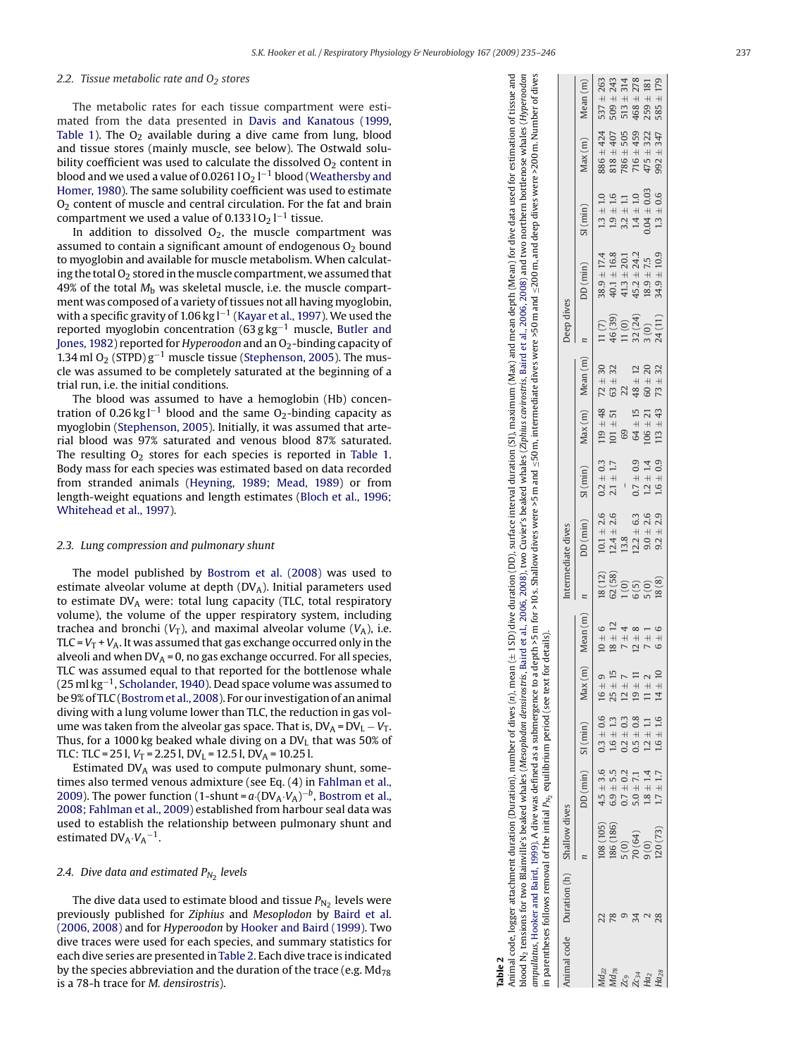### <span id="page-2-0"></span>*2.2. Tissue metabolic rate and O <sup>2</sup> stores*

The metabolic rates for each tissue compartment were estimated from the data presented in [Davis and Kanatous \(1999,](#page-10-0) [Table 1\).](#page-1-0) The  $O_2$  available during a dive came from lung, blood and tissue stores (mainly muscle, see below). The Ostwald solubility coefficient was used to calculate the dissolved  $O<sub>2</sub>$  content in blood and we used a value of 0.0261 l  $\rm O_2$  l $^{-1}$  blood ([Weathersby and](#page-11-0) [Homer, 1980\).](#page-11-0) The same solubility coefficient was used to estimate  $O<sub>2</sub>$  content of muscle and central circulation. For the fat and brain compartment we used a value of 0.133 l O $_2$  l $^{-1}$  tissue.

In addition to dissolved  $O_2$ , the muscle compartment was assumed to contain a significant amount of endogenous  $\mathrm{O}_2$  bound to myoglobin and available for muscle metabolism. When calculating the total  $O<sub>2</sub>$  stored in the muscle compartment, we assumed that 49% of the total *M* <sup>b</sup> was skeletal muscle, i.e. the muscle compartment was composed of a variety of tissues not all having myoglobin, with a specific gravity of 1.06 kg l $^{-1}$  ([Kayar et al., 1997\).](#page-10-0) We used the reported myoglobin concentration (63 g kg<sup>-1</sup> muscle, [Butler and](#page-10-0) [Jones, 1982\) r](#page-10-0)eported for *Hyperoodon* and an O 2-binding capacity of 1.34 ml  $O_2$  (STPD)  $g^{-1}$  muscle tissue [\(Stephenson, 2005\).](#page-11-0) The muscle was assumed to be completely saturated at the beginning of a trial run, i.e. the initial conditions.

The blood was assumed to have a hemoglobin (Hb) concentration of 0.26 kg l<sup>-1</sup> blood and the same O<sub>2</sub>-binding capacity as myoglobin ([Stephenson, 2005\).](#page-11-0) Initially, it was assumed that arterial blood was 97% saturated and venous blood 87% saturated. The resulting  $\mathrm{O}_2$  stores for each species is reported in [Table 1](#page-1-0). Body mass for each species was estimated based on data recorded from stranded animals ([Heyning, 1989; Mead, 1989\)](#page-10-0) or from length-weight equations and length estimates ([Bloch et al., 1996;](#page-10-0) [Whitehead et al., 1997\).](#page-10-0)

#### *2.3. Lung compression and pulmonary shunt*

The model published by [Bostrom et al. \(2008\)](#page-10-0) was used to estimate alveolar volume at depth (DV A). Initial parameters used to estimate DV <sup>A</sup> were: total lung capacity (TLC, total respiratory volume), the volume of the upper respiratory system, including trachea and bronchi (V<sub>T</sub>), and maximal alveolar volume (V<sub>A</sub>), i.e. TLC =  $V_{\rm T}$  +  $V_{\rm A}$ . It was assumed that gas exchange occurred only in the alveoli and when DV $_{\rm A}$  = 0, no gas exchange occurred. For all species, TLC was assumed equal to that reported for the bottlenose whale (25 ml kg $^{-1}$ , [Scholander, 1940\).](#page-11-0) Dead space volume was assumed to be 9% of TLC [\(Bostrom et al., 2008\).](#page-10-0) For our investigation of an animal diving with a lung volume lower than TLC, the reduction in gas volume was taken from the alveolar gas space. That is,  $DV_A = DV_L - V_T$ . Thus, for a 1000 kg beaked whale diving on a DV $_{\rm L}$  that was 50% of TLC: TLC = 25 l,  $V_T$  = 2.25 l, DV<sub>L</sub> = 12.5 l, DV<sub>A</sub> = 10.25 l.

Estimated DV <sup>A</sup> was used to compute pulmonary shunt, sometimes also termed venous admixture (see Eq. (4) in [Fahlman et al.,](#page-10-0) [2009\).](#page-10-0) The power function  $(1\text{-}shunt = a (DV_A \cdot V_A)^{-b}$ , [Bostrom et al.,](#page-10-0) [2008; Fahlman et al., 2009\)](#page-10-0) established from harbour seal data was used to establish the relationship between pulmonary shunt and estimated  $DV_A$  $V_A^{-1}$ .

# *2.4. Dive data and estimated* P*N* <sup>2</sup> *levels*

The dive data used to estimate blood and tissue  $P_{\rm N_2}$  levels were previously published for *Ziphius* and *Mesoplodon* by [Baird et al.](#page-10-0) [\(2006, 2008\)](#page-10-0) and for *Hyperoodon* by [Hooker and Baird \(1999\). T](#page-10-0)wo dive traces were used for each species, and summary statistics for each dive series are presented in Table 2. Each dive trace is indicated by the species abbreviation and the duration of the trace (e.g.  $Md<sub>78</sub>$ is a 78-h trace for *M. densirostris*).

| Animal code Duration (h) Shallow dives | nimal code, logger attachment duration (Duration), number of dives (n), mean (±1 SD) dive duration (DD), surface interval duration (SI), maximum (Max) and mean depth (Mean) for dive data used for estimation of tissue and | lood N <sub>2</sub> tensions for two Blainville's beaked whales (Mesoplodon densirostris, Baird et al., 2006, 2008), two Cuvier's beaked whales (Ziphius cuvirostris, Baird et al., 2006, 2008) and two northern bottlenose whales (Hype | a depth >5 m for >10 s. Shallow dives were >5 m and ≤50 m, intermediate dives were >50 m and ≤200 m, and deep dives were >200 m. Number of dives<br>mpullatus, Hooker and Baird, 1999). A dive was defined as a submergence to a | n parentheses follows removal of the initial P <sub>N</sub> , equilibrium period (see text for details). | Deep dives<br>Intermediate dives |
|----------------------------------------|------------------------------------------------------------------------------------------------------------------------------------------------------------------------------------------------------------------------------|------------------------------------------------------------------------------------------------------------------------------------------------------------------------------------------------------------------------------------------|----------------------------------------------------------------------------------------------------------------------------------------------------------------------------------------------------------------------------------|----------------------------------------------------------------------------------------------------------|----------------------------------|
|                                        |                                                                                                                                                                                                                              |                                                                                                                                                                                                                                          |                                                                                                                                                                                                                                  |                                                                                                          |                                  |

DD (min) SI (min) Max (m) Mean (m) *n* DD (min) SI (min) Max (m) Mean (m) *n* DD (min) SI (min) Max (m) Mean (m)

 $SI (min)$ 

 $DD$  (min)

Mean(m)

 $Max(m)$  $\begin{array}{c} +9 \\ +15 \end{array}$ 

 $SI (min)$ 

 $DD$  (min)

 $Max(m)$ 

Mean(m)

Md<sub>22</sub> 22 108 (105) 4.5 ± 3.6 0.3 ± 0.6 ± 6 ± 6 16 ± 6 16 ± 6 10.1 ± 2.6 0.2 ± 0.3 119 ± 48 1.3 ± 1.0 1.0 1.3 ± 1.0 1.0 1.4 244 537 ± 263<br>Md<sub>22</sub> 1.3 ± 1.0 81050 108 1.0 ± 0.3 ± 0.6 ± 0.9 ± 0.9 ± 0.3 ± 0.3 ± 0.3 ± 1.0 ± 1. Md<sub>78</sub> 78 186 (186) 6.9 ± 5.5 1.6 ± 1.3 2.5 ± 15 12 62 (58) 12.4 ± 2.6 2.1 ± 1.7 101 ± 51 63 ± 32 40.1 ± 16.8 1.9 ± 1.6 818 ± 019 ± 243 *Zc<sub>9</sub>* 9 5 503 ± 0.7 ± 0.2 ± 0.2 ± 0.2 ± 0.2 ± 0.3 4 1.3 ± 314 = 1.0 4.1.3 ± 20.1 1.0 5.13 ± 513 ± 314 515 513 ± 314 ± 1.1 513 ± 314 ± 1.1 513 ± 314 ± 1.1 ± 314 ± 1.1 ± 314 ± 1.1 ± 314 ± 1.1 ± 314 ± 1.1 ± 314 ± 1.1 ± 314 *Zc34* 34 70 (64) 5.0 ± 7.1 0.5 ± 0.8 19 ± 11 12 ± 8 6 (5) 12.2 ± 6.3 0.7 ± 0.9 64 ± 15 48 ± 12 32 (24) 45.2 ± 24.2 1.4 ± 1.0 716 ± 459 468 ± 278 Ha<sub>2</sub> 200 1.8 ± 1.4 1.2 ± 1.1 1.1 ± 2 7 ± 1.4 1.2 ± 1.4 1.3 ± 1.4 1.06 ± 2.1 5.0 ± 2.0 3.0 1.8.9 ± 7.5 ± 1.8.1 ± 1.8.1 ± 2.5 ± 1.81 ± 2.59 ± 1.81 ± 2.59 ± 1.81 ± 2.59 ± 1.81 ± 2.59 ± 1.81 ± 0.04 ± 0.04 ± 0.04 ± 0.04 ± 0.0 Ha<sub>28</sub> 28 120 120 123) 1.7 ± 1.7 1.6 ± 1.6 14 ± 10 6 ± 6 1.8 ± 2.9 1.6 ± 0.9 1.3 ± 32 34.9 ± 0.9 1.3 ± 0.6 94.9 ± 0.9 ± 179 585 ± 179 ± 0.9 ± 179 585 ± 179 ± 0.9 ± 0.9 ± 179 ± 0.9 ± 179 ± 0.9 ± 179 ± 0.8 ± 179 ± 0.9 ± 179

 $18(12)$ <br> $62(58)$ 

 $\begin{array}{c} 10.1 \pm 2.6 \\ 12.4 \pm 2.6 \\ 13.8 \end{array}$ 

 $\begin{array}{c} 119 \pm 48 \\ 101 \pm 51 \end{array}$ 

 $\begin{array}{c} 0.2\pm0.3\\ 2.1\pm1.7 \end{array}$ 

 $\bar{\rm I}$ 

 $\begin{array}{c} 537 \pm 263 \\ 509 \pm 243 \\ 513 \pm 314 \\ 468 \pm 278 \\ 259 \pm 181 \\ 259 \pm 181 \\ \end{array}$ 

 $\begin{array}{c} \pm 322 \\ \pm 347 \end{array}$  $716 \pm 459$ 

 $475 =$ 

 $1.3 \pm 0.6$ 

 $18.9 \pm 7.5$ <br> $34.9 \pm 10.9$  $45.2 \pm 24.2$ 

24(11)

 $113 \pm 43$ 

 $1.2 \pm 1.4$ <br> $1.6 \pm 0.9$  $0.7 \pm 0.9$ 

 $12.2 \pm 6.3$ <br>9.0  $\pm$  2.6<br>9.2  $\pm$  2.9

 $\begin{array}{c} 1(0) \\ 6(5) \\ 5(0) \\ 18(8) \end{array}$ 

 $\frac{1}{1}$  + 10<br>+ 10

 $1.2 \pm 1.1$   $1.6 \pm 1.6$  $0.5 \pm 0.8$ 

 $\overline{1}$ 

 $\pm$  11 

 $0.3 \pm 0.6$ <br>  $1.6 \pm 1.3$ <br>  $0.2 \pm 0.3$ 

 $\frac{108}{186}\frac{(105)}{(186)}$ 

 $4.5 + 3.6$   $6.9 + 5.5$   $6.7 + 5.7$   $7.7 + 1.7$   $1.7 + 1.7$   $1.7 + 1.7$ 

 $\begin{array}{c} 5(0) \\ 70(64) \\ 9(0) \\ 120(73) \end{array}$ 

 $289708$ 

 $\begin{array}{l} \tt{Md}_{22}\\ \tt{Md}_{78}\\ \tt{Z}C_9\\ \tt{Z}C_{34}\\ \tt{H}C_2\\ \tt{H}C_{28}\\ \end{array}$ 

 $1.4 \pm 1.0$ <br> $0.04 \pm 0.03$ 

 $\frac{818 \pm 407}{786 \pm 505}$ 

 $\begin{array}{c} 13 \pm 1.0 \\ 1.9 \pm 1.6 \\ 3.2 \pm 1.1 \end{array}$ 

 $\begin{array}{c} 38.9 \pm 17.4 \\ 40.1 \pm 16.8 \\ 41.3 \pm 20.1 \end{array}$ 

 $11(7)$ <br>  $46(39)$ <br>  $11(0)$ <br>  $32(24)$ <br>  $3(9)$ 

 $\begin{array}{cccc} 72 & \pm & 30 \\ 63 & \pm & 12 \\ 22 & \pm & 12 \\ 48 & \pm & 20 \\ 63 & \pm & 12 \\ 73 & \pm & 12 \\ 86 & \pm & 32 \\ \end{array}$ 

 $69$ <br> $64 \pm 15$ <br> $106 \pm 21$ 

 $886 \pm 424$  $Max(m)$ 

 $Mean(m)$ 

 $SI (min)$ 

 $DD (min)$ 

*n*

| I<br>$\sim$ |  |
|-------------|--|
|             |  |
|             |  |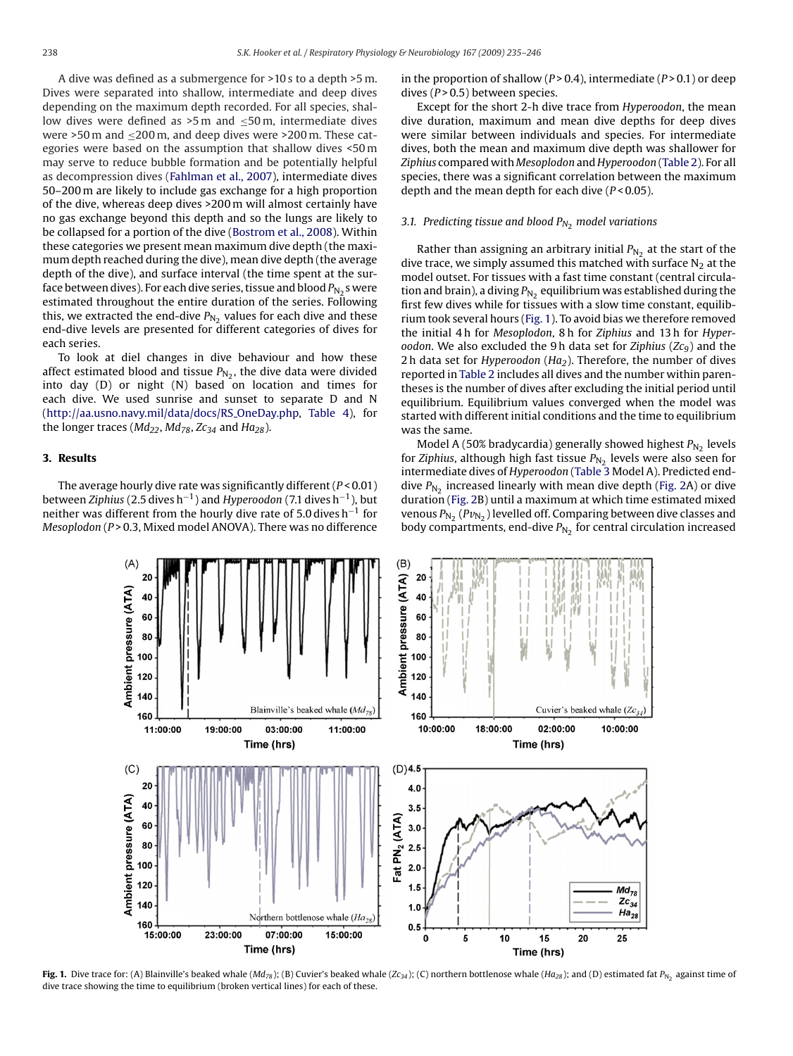<span id="page-3-0"></span>A dive was defined as a submergence for >10 s to a depth >5 m. Dives were separated into shallow, intermediate and deep dives depending on the maximum depth recorded. For all species, shallow dives were defined as  $>5$  m and  $\leq 50$  m, intermediate dives were >50 m and  $\leq$ 200 m, and deep dives were >200 m. These categories were based on the assumption that shallow dives <50 m may serve to reduce bubble formation and be potentially helpful as decompression dives ([Fahlman et al., 2007\),](#page-10-0) intermediate dives 50–200 m are likely to include gas exchange for a high proportion of the dive, whereas deep dives >200 m will almost certainly have no gas exchange beyond this depth and so the lungs are likely to be collapsed for a portion of the dive ([Bostrom et al., 2008\).](#page-10-0) Within these categories we present mean maximum dive depth (the maximum depth reached during the dive), mean dive depth (the average depth of the dive), and surface interval (the time spent at the surface between dives). For each dive series, tissue and blood  $P_{N_2}$ s were estimated throughout the entire duration of the series. Following this, we extracted the end-dive  $P_{N_2}$  values for each dive and these end-dive levels are presented for different categories of dives for each series.

To look at diel changes in dive behaviour and how these affect estimated blood and tissue  $P_{N_2}$ , the dive data were divided into day  $(D)$  or night  $(N)$  based on location and times for each dive. We used sunrise and sunset to separate D and N ([http://aa.usno.navy.mil/data/docs/RS](http://aa.usno.navy.mil/data/docs/RS_OneDay.php) OneDay.php, [Table 4\)](#page-7-0), for the longer traces ( $Md_{22}$ ,  $Md_{78}$ ,  $Zc_{34}$  and  $Ha_{28}$ ).

## **3. Results**

The average hourly dive rate was significantly different (*P* < 0.01) between *Ziphius* (2.5 dives h−1) and *Hyperoodon* (7.1 dives h−1), but neither was different from the hourly dive rate of 5.0 dives h<sup>-1</sup> for *Mesoplodon* (*P* > 0.3, Mixed model ANOVA). There was no difference

in the proportion of shallow  $(P > 0.4)$ , intermediate  $(P > 0.1)$  or deep dives ( $P > 0.5$ ) between species.

Except for the short 2-h dive trace from *Hyperoodon*, the mean dive duration, maximum and mean dive depths for deep dives were similar between individuals and species. For intermediate dives, both the mean and maximum dive depth was shallower for *Ziphius* compared with *Mesoplodon* and *Hyperoodon* ([Table 2\).](#page-2-0) For all species, there was a significant correlation between the maximum depth and the mean depth for each dive (*P* < 0.05).

## *3.1. Predicting tissue and blood* P*N*<sup>2</sup> *model variations*

Rather than assigning an arbitrary initial  $P_{N_2}$  at the start of the dive trace, we simply assumed this matched with surface  $N_2$  at the model outset. For tissues with a fast time constant (central circulation and brain), a diving  $P_{N_2}$  equilibrium was established during the first few dives while for tissues with a slow time constant, equilibrium took several hours (Fig. 1). To avoid bias we therefore removed the initial 4 h for *Mesoplodon*, 8 h for *Ziphius* and 13 h for *Hyperoodon*. We also excluded the 9 h data set for *Ziphius* (*Zc9*) and the 2 h data set for *Hyperoodon* (*Ha2*). Therefore, the number of dives reported in [Table 2](#page-2-0) includes all dives and the number within parentheses is the number of dives after excluding the initial period until equilibrium. Equilibrium values converged when the model was started with different initial conditions and the time to equilibrium was the same.

Model A (50% bradycardia) generally showed highest  $P_{N_2}$  levels for *Ziphius*, although high fast tissue  $P_{N_2}$  levels were also seen for intermediate dives of *Hyperoodon* ([Table 3](#page-4-0) Model A). Predicted enddive  $P_{N_2}$  increased linearly with mean dive depth [\(Fig. 2A](#page-4-0)) or dive duration [\(Fig. 2B\)](#page-4-0) until a maximum at which time estimated mixed venous  $P_{N_2}$  ( $Pv_{N_2}$ ) levelled off. Comparing between dive classes and body compartments, end-dive  $P_{N_2}$  for central circulation increased



**Fig. 1.** Dive trace for: (A) Blainville's beaked whale (*Md<sub>78</sub>*); (B) Cuvier's beaked whale (*Zc*<sub>3</sub>4</sub>); (C) northern bottlenose whale (*Ha*<sub>28</sub>); and (D) estimated fat P<sub>N2</sub> against time of dive trace showing the time to equilibrium (broken vertical lines) for each of these.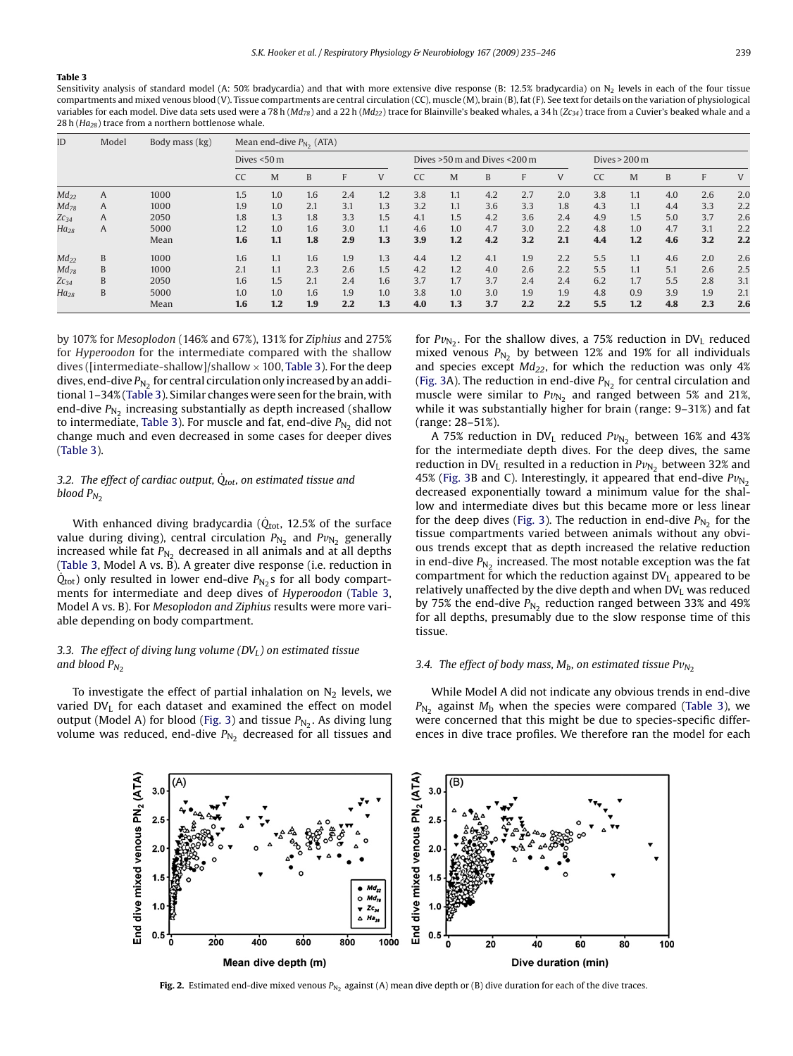#### <span id="page-4-0"></span>**Table 3**

Sensitivity analysis of standard model (A: 50% bradycardia) and that with more extensive dive response (B: 12.5% bradycardia) on N<sub>2</sub> levels in each of the four tissue compartments and mixed venous blood (V). Tissue compartments are central circulation (CC), muscle (M), brain (B), fat (F). See text for details on the variation of physiological variables for each model. Dive data sets used were a 78 h (*Md<sub>78</sub>*) and a 22 h (*Md<sub>22</sub>*) trace for Blainville's beaked whales, a 34 h (*Zc34*) trace from a Cuvier's beaked whale and a 28 h (*Ha28*) trace from a northern bottlenose whale.

| ID        | Model | Body mass (kg) |             | Mean end-dive $P_{N_2}$ (ATA) |     |     |     |     |                              |     |     |     |           |                         |     |     |     |
|-----------|-------|----------------|-------------|-------------------------------|-----|-----|-----|-----|------------------------------|-----|-----|-----|-----------|-------------------------|-----|-----|-----|
|           |       |                | Dives <50 m |                               |     |     |     |     | Dives >50 m and Dives <200 m |     |     |     |           | Dives $> 200 \text{ m}$ |     |     |     |
|           |       |                | <b>CC</b>   | M                             | B   | F   | V   | CC  | M                            | B   | F   | V   | <b>CC</b> | M                       | B   | F   | V   |
| $Md_{22}$ | A     | 1000           | 1.5         | 1.0                           | 1.6 | 2.4 | 1.2 | 3.8 | 1.1                          | 4.2 | 2.7 | 2.0 | 3.8       | 1.1                     | 4.0 | 2.6 | 2.0 |
| $Md_{78}$ | A     | 1000           | 1.9         | 1.0                           | 2.1 | 3.1 | 1.3 | 3.2 | 1.1                          | 3.6 | 3.3 | 1.8 | 4.3       | 1.1                     | 4.4 | 3.3 | 2.2 |
| $Zc_{34}$ | A     | 2050           | 1.8         | 1.3                           | 1.8 | 3.3 | 1.5 | 4.1 | 1.5                          | 4.2 | 3.6 | 2.4 | 4.9       | 1.5                     | 5.0 | 3.7 | 2.6 |
| $Ha_{28}$ | A     | 5000           | 1.2         | 1.0                           | 1.6 | 3.0 | 1.1 | 4.6 | 1.0                          | 4.7 | 3.0 | 2.2 | 4.8       | 1.0                     | 4.7 | 3.1 | 2.2 |
|           |       | Mean           | 1.6         | 1.1                           | 1.8 | 2.9 | 1.3 | 3.9 | 1.2                          | 4.2 | 3.2 | 2.1 | 4.4       | 1.2                     | 4.6 | 3.2 | 2.2 |
| $Md_{22}$ | B     | 1000           | 1.6         | 1.1                           | 1.6 | 1.9 | 1.3 | 4.4 | 1.2                          | 4.1 | 1.9 | 2.2 | 5.5       | 1.1                     | 4.6 | 2.0 | 2.6 |
| $Md_{78}$ | B     | 1000           | 2.1         | 1.1                           | 2.3 | 2.6 | 1.5 | 4.2 | 1.2                          | 4.0 | 2.6 | 2.2 | 5.5       | 1.1                     | 5.1 | 2.6 | 2.5 |
| $Zc_{34}$ | B     | 2050           | 1.6         | 1.5                           | 2.1 | 2.4 | 1.6 | 3.7 | 1.7                          | 3.7 | 2.4 | 2.4 | 6.2       | 1.7                     | 5.5 | 2.8 | 3.1 |
| $Ha_{28}$ | B     | 5000           | 1.0         | 1.0                           | 1.6 | 1.9 | 1.0 | 3.8 | 1.0                          | 3.0 | 1.9 | 1.9 | 4.8       | 0.9                     | 3.9 | 1.9 | 2.1 |
|           |       | Mean           | 1.6         | 1.2                           | 1.9 | 2.2 | 1.3 | 4.0 | 1.3                          | 3.7 | 2.2 | 2.2 | 5.5       | 1.2                     | 4.8 | 2.3 | 2.6 |

by 107% for *Mesoplodon* (146% and 67%), 131% for *Ziphius* and 275% for *Hyperoodon* for the intermediate compared with the shallow dives ([intermediate-shallow]/shallow  $\times$  100, Table 3). For the deep dives, end-dive  $P_{N_2}$  for central circulation only increased by an additional 1–34% (Table 3). Similar changes were seen for the brain, with end-dive  $P_{N_2}$  increasing substantially as depth increased (shallow to intermediate, Table 3). For muscle and fat, end-dive  $P_{N_2}$  did not change much and even decreased in some cases for deeper dives (Table 3).

# 3.2. The effect of cardiac output,  $\dot{Q}_{tot}$ , on estimated tissue and *blood*  $P_{N_2}$

With enhanced diving bradycardia ( $\dot{Q}_{tot}$ , 12.5% of the surface value during diving), central circulation  $P_{N_2}$  and  $Pv_{N_2}$  generally increased while fat  $P_{N_2}$  decreased in all animals and at all depths (Table 3, Model A vs. B). A greater dive response (i.e. reduction in  $Q_{\text{tot}}$ ) only resulted in lower end-dive  $P_{\text{N}_2}$ s for all body compartments for intermediate and deep dives of *Hyperoodon* (Table 3, Model A vs. B). For *Mesoplodon and Ziphius* results were more variable depending on body compartment.

## 3.3. The effect of diving lung volume (DV<sub>L</sub>) on estimated tissue *and blood*  $P_{N_2}$

To investigate the effect of partial inhalation on  $N_2$  levels, we varied  $DV<sub>L</sub>$  for each dataset and examined the effect on model output (Model A) for blood [\(Fig. 3\)](#page-5-0) and tissue  $P_{N_2}$ . As diving lung volume was reduced, end-dive  $P_{N_2}$  decreased for all tissues and for  $Pv_{N_2}$ . For the shallow dives, a 75% reduction in DV<sub>L</sub> reduced mixed venous  $P_{N_2}$  by between 12% and 19% for all individuals and species except  $Md_{22}$ , for which the reduction was only 4% [\(Fig. 3A](#page-5-0)). The reduction in end-dive  $P_{N_2}$  for central circulation and muscle were similar to  $Pv_{N_2}$  and ranged between 5% and 21%, while it was substantially higher for brain (range: 9–31%) and fat (range: 28–51%).

A 75% reduction in DV<sub>L</sub> reduced  $Pv_{N_2}$  between 16% and 43% for the intermediate depth dives. For the deep dives, the same reduction in DV<sub>L</sub> resulted in a reduction in  $Pv_{N_2}$  between 32% and 45% ([Fig. 3B](#page-5-0) and C). Interestingly, it appeared that end-dive  $Pv_{N_2}$ decreased exponentially toward a minimum value for the shallow and intermediate dives but this became more or less linear for the deep dives ([Fig. 3\).](#page-5-0) The reduction in end-dive  $P_{N_2}$  for the tissue compartments varied between animals without any obvious trends except that as depth increased the relative reduction in end-dive  $P_{N_2}$  increased. The most notable exception was the fat compartment for which the reduction against  $DV<sub>L</sub>$  appeared to be relatively unaffected by the dive depth and when  $DV<sub>L</sub>$  was reduced by 75% the end-dive  $P_{N_2}$  reduction ranged between 33% and 49% for all depths, presumably due to the slow response time of this tissue.

### *3.4. The effect of body mass,*  $M_h$ *, on estimated tissue*  $Pv_{N_2}$

While Model A did not indicate any obvious trends in end-dive  $P_{N_2}$  against  $M_b$  when the species were compared (Table 3), we were concerned that this might be due to species-specific differences in dive trace profiles. We therefore ran the model for each



**Fig. 2.** Estimated end-dive mixed venous  $P_{N_2}$  against (A) mean dive depth or (B) dive duration for each of the dive traces.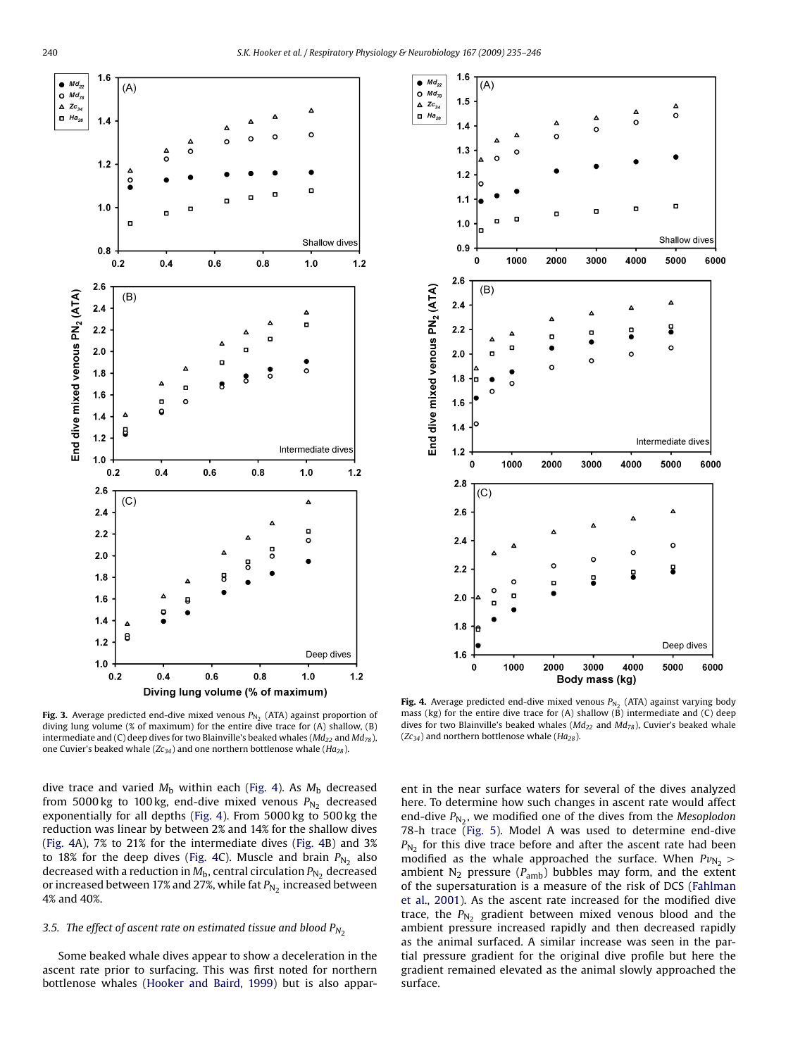<span id="page-5-0"></span>



dive trace and varied  $M<sub>b</sub>$  within each (Fig. 4). As  $M<sub>b</sub>$  decreased from 5000 kg to 100 kg, end-dive mixed venous  $P_{N_2}$  decreased exponentially for all depths (Fig. 4). From 5000 kg to 500 kg the reduction was linear by between 2% and 14% for the shallow dives (Fig. 4A), 7% to 21% for the intermediate dives (Fig. 4B) and 3% to 18% for the deep dives (Fig. 4C). Muscle and brain  $P_{N_2}$  also decreased with a reduction in  $M_b$ , central circulation  $P_{N_2}$  decreased or increased between 17% and 27%, while fat  $P_{N_2}$  increased between 4% and 40%.

## *3.5. The effect of ascent rate on estimated tissue and blood*  $P_{N_2}$

Some beaked whale dives appear to show a deceleration in the ascent rate prior to surfacing. This was first noted for northern bottlenose whales [\(Hooker and Baird, 1999\)](#page-10-0) but is also appar-



**Fig. 4.** Average predicted end-dive mixed venous  $P_{N_2}$  (ATA) against varying body mass (kg) for the entire dive trace for (A) shallow ( $\overline{B}$ ) intermediate and (C) deep dives for two Blainville's beaked whales ( $Md_{22}$  and  $Md_{78}$ ), Cuvier's beaked whale  $(Zc_{34})$  and northern bottlenose whale ( $Ha_{28}$ ).

ent in the near surface waters for several of the dives analyzed here. To determine how such changes in ascent rate would affect end-dive  $P_{N_2}$ , we modified one of the dives from the *Mesoplodon* 78-h trace [\(Fig. 5\)](#page-6-0). Model A was used to determine end-dive  $P_{N_2}$  for this dive trace before and after the ascent rate had been modified as the whale approached the surface. When  $Pv_{N_2}$  > ambient  $N_2$  pressure ( $P_{amb}$ ) bubbles may form, and the extent of the supersaturation is a measure of the risk of DCS [\(Fahlman](#page-10-0) [et al., 2001\).](#page-10-0) As the ascent rate increased for the modified dive trace, the  $P_{N_2}$  gradient between mixed venous blood and the ambient pressure increased rapidly and then decreased rapidly as the animal surfaced. A similar increase was seen in the partial pressure gradient for the original dive profile but here the gradient remained elevated as the animal slowly approached the surface.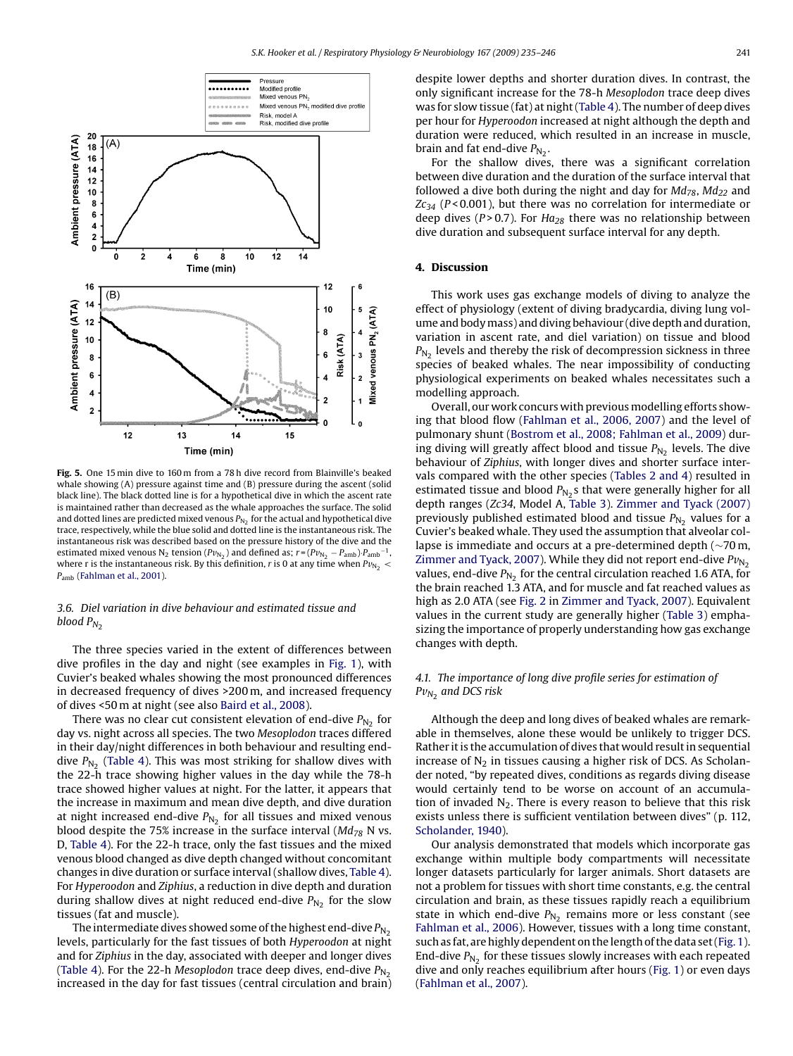<span id="page-6-0"></span>

**Fig. 5.** One 15 min dive to 160 m from a 78 h dive record from Blainville's beaked whale showing (A) pressure against time and (B) pressure during the ascent (solid black line). The black dotted line is for a hypothetical dive in which the ascent rate is maintained rather than decreased as the whale approaches the surface. The solid and dotted lines are predicted mixed venous  $P_{N_2}$  for the actual and hypothetical dive trace, respectively, while the blue solid and dotted line is the instantaneous risk. The instantaneous risk was described based on the pressure history of the dive and the estimated mixed venous N<sub>2</sub> tension ( $Pv_{N_2}$ ) and defined as;  $r = (Pv_{N_2} - P_{amb}) \cdot P_{amb}^{-1}$ where r is the instantaneous risk. By this definition, r is 0 at any time when  $Pv_{N_2}$  < Pamb [\(Fahlman et al., 2001\).](#page-10-0)

## *3.6. Diel variation in dive behaviour and estimated tissue and blood*  $P_{N_2}$

The three species varied in the extent of differences between dive profiles in the day and night (see examples in [Fig. 1\),](#page-3-0) with Cuvier's beaked whales showing the most pronounced differences in decreased frequency of dives >200 m, and increased frequency of dives <50 m at night (see also [Baird et al., 2008\).](#page-10-0)

There was no clear cut consistent elevation of end-dive  $P_{N_2}$  for day vs. night across all species. The two *Mesoplodon* traces differed in their day/night differences in both behaviour and resulting enddive  $P_{N_2}$  ([Table 4\).](#page-7-0) This was most striking for shallow dives with the 22-h trace showing higher values in the day while the 78-h trace showed higher values at night. For the latter, it appears that the increase in maximum and mean dive depth, and dive duration at night increased end-dive  $P_{N_2}$  for all tissues and mixed venous blood despite the 75% increase in the surface interval (*Md78* N vs. D, [Table 4\).](#page-7-0) For the 22-h trace, only the fast tissues and the mixed venous blood changed as dive depth changed without concomitant changes in dive duration or surface interval (shallow dives, [Table 4\).](#page-7-0) For *Hyperoodon* and *Ziphius*, a reduction in dive depth and duration during shallow dives at night reduced end-dive  $P_{N_2}$  for the slow tissues (fat and muscle).

The intermediate dives showed some of the highest end-dive  $P_{N_2}$ levels, particularly for the fast tissues of both *Hyperoodon* at night and for *Ziphius* in the day, associated with deeper and longer dives ([Table 4\).](#page-7-0) For the 22-h *Mesoplodon* trace deep dives, end-dive  $P_{N_2}$ increased in the day for fast tissues (central circulation and brain) despite lower depths and shorter duration dives. In contrast, the only significant increase for the 78-h *Mesoplodon* trace deep dives was for slow tissue (fat) at night [\(Table 4\).](#page-7-0) The number of deep dives per hour for *Hyperoodon* increased at night although the depth and duration were reduced, which resulted in an increase in muscle, brain and fat end-dive  $P_{N_2}$ .

For the shallow dives, there was a significant correlation between dive duration and the duration of the surface interval that followed a dive both during the night and day for  $Md_{78}$ ,  $Md_{22}$  and  $Zc_{34}$  ( $P < 0.001$ ), but there was no correlation for intermediate or deep dives ( $P > 0.7$ ). For  $Ha_{28}$  there was no relationship between dive duration and subsequent surface interval for any depth.

# **4. Discussion**

This work uses gas exchange models of diving to analyze the effect of physiology (extent of diving bradycardia, diving lung volume and bodymass) and diving behaviour (dive depth and duration, variation in ascent rate, and diel variation) on tissue and blood  $P_{N_2}$  levels and thereby the risk of decompression sickness in three species of beaked whales. The near impossibility of conducting physiological experiments on beaked whales necessitates such a modelling approach.

Overall, our work concurs with previous modelling efforts showing that blood flow [\(Fahlman et al., 2006, 2007\)](#page-10-0) and the level of pulmonary shunt ([Bostrom et al., 2008; Fahlman et al., 2009\)](#page-10-0) during diving will greatly affect blood and tissue  $P_{N<sub>2</sub>}$  levels. The dive behaviour of *Ziphius*, with longer dives and shorter surface intervals compared with the other species ([Tables 2 and 4\)](#page-2-0) resulted in estimated tissue and blood  $P_{N_2}$ s that were generally higher for all depth ranges (*Zc34*, Model A, [Table 3\).](#page-4-0) [Zimmer and Tyack \(2007\)](#page-11-0) previously published estimated blood and tissue  $P_{N_2}$  values for a Cuvier's beaked whale. They used the assumption that alveolar collapse is immediate and occurs at a pre-determined depth (∼70 m, [Zimmer and Tyack, 2007\).](#page-11-0) While they did not report end-dive  $Pv_{N_2}$ values, end-dive  $P_{N_2}$  for the central circulation reached 1.6 ATA, for the brain reached 1.3 ATA, and for muscle and fat reached values as high as 2.0 ATA (see [Fig. 2](#page-4-0) in [Zimmer and Tyack, 2007\).](#page-11-0) Equivalent values in the current study are generally higher ([Table 3\)](#page-4-0) emphasizing the importance of properly understanding how gas exchange changes with depth.

## *4.1. The importance of long dive profile series for estimation of* P*v<sup>N</sup>*<sup>2</sup> *and DCS risk*

Although the deep and long dives of beaked whales are remarkable in themselves, alone these would be unlikely to trigger DCS. Rather it is the accumulation of dives that would result in sequential increase of  $N_2$  in tissues causing a higher risk of DCS. As Scholander noted, "by repeated dives, conditions as regards diving disease would certainly tend to be worse on account of an accumulation of invaded  $N_2$ . There is every reason to believe that this risk exists unless there is sufficient ventilation between dives" (p. 112, [Scholander, 1940\).](#page-11-0)

Our analysis demonstrated that models which incorporate gas exchange within multiple body compartments will necessitate longer datasets particularly for larger animals. Short datasets are not a problem for tissues with short time constants, e.g. the central circulation and brain, as these tissues rapidly reach a equilibrium state in which end-dive  $P_{N_2}$  remains more or less constant (see [Fahlman et al., 2006\).](#page-10-0) However, tissues with a long time constant, such as fat, are highly dependent on the length of the data set ([Fig. 1\).](#page-3-0) End-dive  $P_{N_2}$  for these tissues slowly increases with each repeated dive and only reaches equilibrium after hours ([Fig. 1\)](#page-3-0) or even days [\(Fahlman et al., 2007\).](#page-10-0)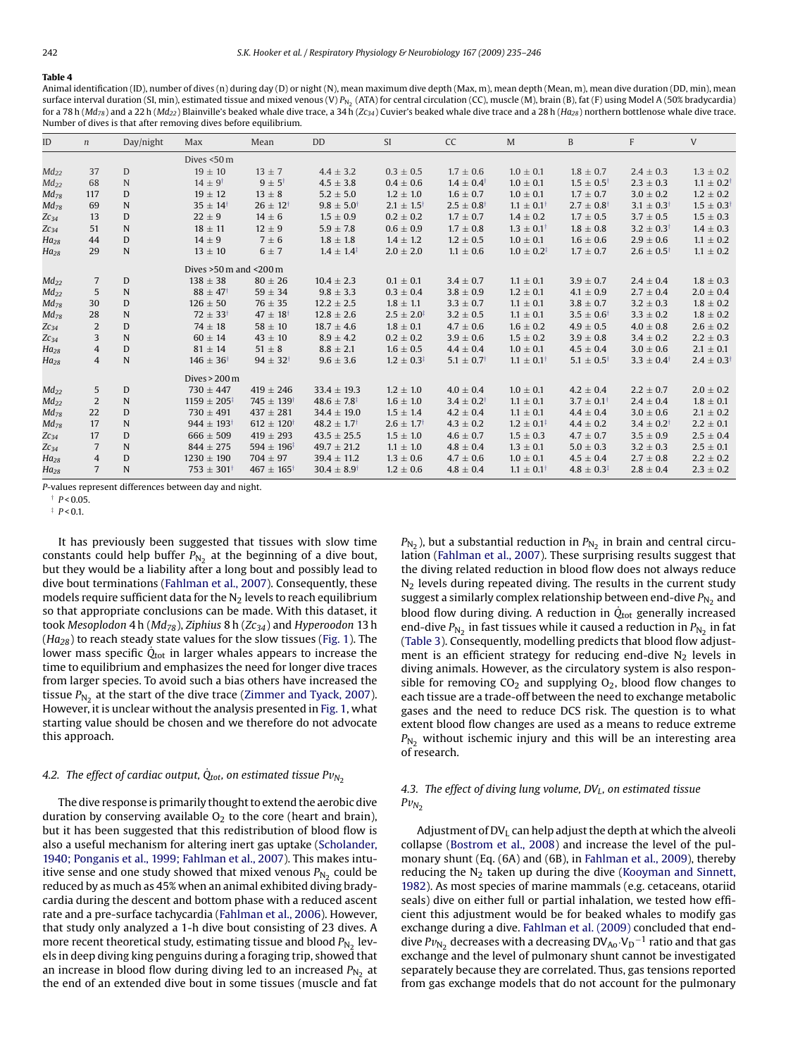#### <span id="page-7-0"></span>**Table 4**

Animal identification (ID), number of dives (n) during day (D) or night (N), mean maximum dive depth (Max, m), mean depth (Mean, m), mean dive duration (DD, min), mean surface interval duration (SI, min), estimated tissue and mixed venous (V)  $P_{N<sub>2</sub>}$  (ATA) for central circulation (CC), muscle (M), brain (B), fat (F) using Model A (50% bradycardia) for a 78 h (*Md78*) and a 22 h (*Md22*) Blainville's beaked whale dive trace, a 34 h (*Zc34*) Cuvier's beaked whale dive trace and a 28 h (*Ha28*) northern bottlenose whale dive trace. Number of dives is that after removing dives before equilibrium.

| ID        | $\mathfrak n$  | Day/night   | Max                                         | Mean                     | <b>DD</b>                   | <b>SI</b>                  | <b>CC</b>                  | M                        | B                          | F                       | V                       |
|-----------|----------------|-------------|---------------------------------------------|--------------------------|-----------------------------|----------------------------|----------------------------|--------------------------|----------------------------|-------------------------|-------------------------|
|           |                |             | Dives <50 m                                 |                          |                             |                            |                            |                          |                            |                         |                         |
| $Md_{22}$ | 37             | $\mathbf D$ | $19 \pm 10$                                 | $13 \pm 7$               | $4.4 \pm 3.2$               | $0.3 \pm 0.5$              | $1.7 \pm 0.6$              | $1.0 \pm 0.1$            | $1.8 \pm 0.7$              | $2.4 \pm 0.3$           | $1.3 \pm 0.2$           |
| $Md_{22}$ | 68             | N           | $14 \pm 9^{\dagger}$                        | $9 \pm 5^{\dagger}$      | $4.5 \pm 3.8$               | $0.4 \pm 0.6$              | $1.4 \pm 0.4^{\dagger}$    | $1.0 \pm 0.1$            | $1.5 \pm 0.5^{\dagger}$    | $2.3 \pm 0.3$           | $1.1 \pm 0.2^{\dagger}$ |
| $Md_{78}$ | 117            | D           | $19 \pm 12$                                 | $13 \pm 8$               | $5.2 \pm 5.0$               | $1.2 \pm 1.0$              | $1.6 \pm 0.7$              | $1.0 \pm 0.1$            | $1.7 \pm 0.7$              | $3.0 \pm 0.2$           | $1.2 \pm 0.2$           |
| $Md_{78}$ | 69             | N           | $35 \pm 14^{\dagger}$                       | $26 \pm 12^{\dagger}$    | $9.8 \pm 5.0^{\dagger}$     | $2.1 \pm 1.5^{\dagger}$    | $2.5 \pm 0.8$ <sup>†</sup> | $1.1 \pm 0.1^{\dagger}$  | $2.7 \pm 0.8$ <sup>†</sup> | $3.1 \pm 0.3^{\dagger}$ | $1.5 \pm 0.3^{\dagger}$ |
| $Zc_{34}$ | 13             | D           | $22 \pm 9$                                  | $14 \pm 6$               | $1.5 \pm 0.9$               | $0.2 \pm 0.2$              | $1.7 \pm 0.7$              | $1.4 \pm 0.2$            | $1.7 \pm 0.5$              | $3.7 \pm 0.5$           | $1.5 \pm 0.3$           |
| $Zc_{34}$ | 51             | $\mathbf N$ | $18 \pm 11$                                 | $12 \pm 9$               | $5.9 \pm 7.8$               | $0.6 \pm 0.9$              | $1.7 \pm 0.8$              | $1.3 \pm 0.1^{\dagger}$  | $1.8 \pm 0.8$              | $3.2 \pm 0.3^{\dagger}$ | $1.4 \pm 0.3$           |
| $Ha_{28}$ | 44             | D           | $14 \pm 9$                                  | $7 \pm 6$                | $1.8 \pm 1.8$               | $1.4 \pm 1.2$              | $1.2 \pm 0.5$              | $1.0 \pm 0.1$            | $1.6 \pm 0.6$              | $2.9 \pm 0.6$           | $1.1 \pm 0.2$           |
| $Ha_{28}$ | 29             | $\mathbf N$ | $13 \pm 10$                                 | $6 \pm 7$                | $1.4 \pm 1.4^{\ddagger}$    | $2.0 \pm 2.0$              | $1.1 \pm 0.6$              | $1.0 \pm 0.2^{\ddagger}$ | $1.7 \pm 0.7$              | $2.6 \pm 0.5^{\dagger}$ | $1.1 \pm 0.2$           |
|           |                |             | Dives $>50 \text{ m}$ and $< 200 \text{ m}$ |                          |                             |                            |                            |                          |                            |                         |                         |
| $Md_{22}$ | 7              | D           | $138 \pm 38$                                | $80 \pm 26$              | $10.4 \pm 2.3$              | $0.1 \pm 0.1$              | $3.4 \pm 0.7$              | $1.1 \pm 0.1$            | $3.9 \pm 0.7$              | $2.4 \pm 0.4$           | $1.8 \pm 0.3$           |
| $Md_{22}$ | 5              | N           | $88 \pm 47^{\dagger}$                       | $59 \pm 34$              | $9.8 \pm 3.3$               | $0.3 \pm 0.4$              | $3.8 \pm 0.9$              | $1.2 \pm 0.1$            | $4.1 \pm 0.9$              | $2.7 \pm 0.4$           | $2.0 \pm 0.4$           |
| $Md_{78}$ | 30             | D           | $126 \pm 50$                                | $76 \pm 35$              | $12.2 \pm 2.5$              | $1.8 \pm 1.1$              | $3.3 \pm 0.7$              | $1.1 \pm 0.1$            | $3.8 \pm 0.7$              | $3.2 \pm 0.3$           | $1.8 \pm 0.2$           |
| $Md_{78}$ | 28             | $\mathbf N$ | $72 \pm 33^{\dagger}$                       | $47 \pm 18^{\dagger}$    | $12.8 \pm 2.6$              | $2.5 \pm 2.0^{\ddagger}$   | $3.2 \pm 0.5$              | $1.1 \pm 0.1$            | $3.5 \pm 0.6^{\dagger}$    | $3.3 \pm 0.2$           | $1.8 \pm 0.2$           |
| $Zc_{34}$ | $\overline{2}$ | D           | $74 \pm 18$                                 | $58 \pm 10$              | $18.7 \pm 4.6$              | $1.8 \pm 0.1$              | $4.7 \pm 0.6$              | $1.6 \pm 0.2$            | $4.9 \pm 0.5$              | $4.0 \pm 0.8$           | $2.6 \pm 0.2$           |
| $Zc_{34}$ | 3              | $\mathbf N$ | $60 \pm 14$                                 | $43 \pm 10$              | $8.9 \pm 4.2$               | $0.2 \pm 0.2$              | $3.9 \pm 0.6$              | $1.5 \pm 0.2$            | $3.9 \pm 0.8$              | $3.4 \pm 0.2$           | $2.2 \pm 0.3$           |
| $Ha_{28}$ | 4              | D           | $81 \pm 14$                                 | $51 \pm 8$               | $8.8 \pm 2.1$               | $1.6 \pm 0.5$              | $4.4 \pm 0.4$              | $1.0 \pm 0.1$            | $4.5 \pm 0.4$              | $3.0 \pm 0.6$           | $2.1 \pm 0.1$           |
| $Ha_{28}$ | 4              | N           | $146 \pm 36^{\dagger}$                      | $94 \pm 32^{\dagger}$    | $9.6 \pm 3.6$               | $1.2 \pm 0.3^{\ddagger}$   | $5.1 \pm 0.7$ <sup>†</sup> | $1.1 \pm 0.1^{\dagger}$  | $5.1 \pm 0.5^{\dagger}$    | $3.3 \pm 0.4^{\dagger}$ | $2.4 \pm 0.3^{\dagger}$ |
|           |                |             | Dives $> 200 \text{ m}$                     |                          |                             |                            |                            |                          |                            |                         |                         |
| $Md_{22}$ | 5              | D           | $730 \pm 447$                               | $419 \pm 246$            | $33.4 \pm 19.3$             | $1.2 \pm 1.0$              | $4.0 \pm 0.4$              | $1.0 \pm 0.1$            | $4.2 \pm 0.4$              | $2.2 \pm 0.7$           | $2.0 \pm 0.2$           |
| $Md_{22}$ | $\overline{2}$ | $\mathbf N$ | $1159 \pm 205^{\ddagger}$                   | $745 \pm 139^{\dagger}$  | $48.6 \pm 7.8^{\ddagger}$   | $1.6 \pm 1.0$              | $3.4 \pm 0.2^{\dagger}$    | $1.1 \pm 0.1$            | $3.7 \pm 0.1^{\dagger}$    | $2.4 \pm 0.4$           | $1.8 \pm 0.1$           |
| $Md_{78}$ | 22             | D           | $730 \pm 491$                               | $437 \pm 281$            | $34.4 \pm 19.0$             | $1.5 \pm 1.4$              | $4.2 \pm 0.4$              | $1.1 \pm 0.1$            | $4.4 \pm 0.4$              | $3.0 \pm 0.6$           | $2.1 \pm 0.2$           |
| $Md_{78}$ | 17             | N           | $944 \pm 193$ <sup>†</sup>                  | $612 \pm 120^{\dagger}$  | $48.2 \pm 1.7$ <sup>†</sup> | $2.6 \pm 1.7$ <sup>†</sup> | $4.3 \pm 0.2$              | $1.2 \pm 0.1^{\ddagger}$ | $4.4 \pm 0.2$              | $3.4 \pm 0.2^{\dagger}$ | $2.2 \pm 0.1$           |
| $ZC_{34}$ | 17             | D           | $666 \pm 509$                               | $419 \pm 293$            | $43.5 \pm 25.5$             | $1.5 \pm 1.0$              | $4.6 \pm 0.7$              | $1.5 \pm 0.3$            | $4.7 \pm 0.7$              | $3.5 \pm 0.9$           | $2.5 \pm 0.4$           |
| $Zc_{34}$ | 7              | N           | $844 \pm 275$                               | $594 \pm 196^{\ddagger}$ | $49.7 \pm 21.2$             | $1.1 \pm 1.0$              | $4.8 \pm 0.4$              | $1.3 \pm 0.1$            | $5.0 \pm 0.3$              | $3.2 \pm 0.3$           | $2.5 \pm 0.1$           |
| $Ha_{28}$ | 4              | D           | $1230 \pm 190$                              | $704 \pm 97$             | $39.4 \pm 11.2$             | $1.3 \pm 0.6$              | $4.7 \pm 0.6$              | $1.0 \pm 0.1$            | $4.5 \pm 0.4$              | $2.7 \pm 0.8$           | $2.2 \pm 0.2$           |
| $Ha_{28}$ | $\overline{7}$ | N           | $753 \pm 301^{\dagger}$                     | $467 \pm 165^{\dagger}$  | $30.4 \pm 8.9^{\dagger}$    | $1.2 \pm 0.6$              | $4.8 \pm 0.4$              | $1.1 \pm 0.1^{\dagger}$  | $4.8 \pm 0.3^{\ddagger}$   | $2.8 \pm 0.4$           | $2.3 \pm 0.2$           |

*P*-values represent differences between day and night.

 $\uparrow$  *P* < 0.05

 $\frac{1}{2}$   $P < 0.1$ .

It has previously been suggested that tissues with slow time constants could help buffer  $P_{N_2}$  at the beginning of a dive bout, but they would be a liability after a long bout and possibly lead to dive bout terminations [\(Fahlman et al., 2007\).](#page-10-0) Consequently, these models require sufficient data for the  $N_2$  levels to reach equilibrium so that appropriate conclusions can be made. With this dataset, it took *Mesoplodon* 4h(*Md78*), *Ziphius* 8h(*Zc34*) and *Hyperoodon* 13 h (*Ha28*) to reach steady state values for the slow tissues [\(Fig. 1\).](#page-3-0) The lower mass specific  $Q_{tot}$  in larger whales appears to increase the time to equilibrium and emphasizes the need for longer dive traces from larger species. To avoid such a bias others have increased the tissue  $P_{N_2}$  at the start of the dive trace ([Zimmer and Tyack, 2007\).](#page-11-0) However, it is unclear without the analysis presented in [Fig. 1, w](#page-3-0)hat starting value should be chosen and we therefore do not advocate this approach.

# *4.2. The effect of cardiac output,*  $\dot{Q}_{tot}$ , on estimated tissue  $Pv_{N_2}$

The dive response is primarily thought to extend the aerobic dive duration by conserving available  $O<sub>2</sub>$  to the core (heart and brain), but it has been suggested that this redistribution of blood flow is also a useful mechanism for altering inert gas uptake ([Scholander,](#page-11-0) [1940; Ponganis et al., 1999; Fahlman et al., 2007\).](#page-11-0) This makes intuitive sense and one study showed that mixed venous  $P_{N_2}$  could be reduced by as much as 45% when an animal exhibited diving bradycardia during the descent and bottom phase with a reduced ascent rate and a pre-surface tachycardia ([Fahlman et al., 2006\).](#page-10-0) However, that study only analyzed a 1-h dive bout consisting of 23 dives. A more recent theoretical study, estimating tissue and blood  $P_{N_2}$  levels in deep diving king penguins during a foraging trip, showed that an increase in blood flow during diving led to an increased  $P_{N_2}$  at the end of an extended dive bout in some tissues (muscle and fat  $P_{N_2}$ ), but a substantial reduction in  $P_{N_2}$  in brain and central circulation ([Fahlman et al., 2007\).](#page-10-0) These surprising results suggest that the diving related reduction in blood flow does not always reduce  $N<sub>2</sub>$  levels during repeated diving. The results in the current study suggest a similarly complex relationship between end-dive  $P_{N_2}$  and blood flow during diving. A reduction in  $\dot{Q}_{tot}$  generally increased end-dive  $P_{N_2}$  in fast tissues while it caused a reduction in  $P_{N_2}$  in fat [\(Table 3\).](#page-4-0) Consequently, modelling predicts that blood flow adjustment is an efficient strategy for reducing end-dive  $N_2$  levels in diving animals. However, as the circulatory system is also responsible for removing  $CO<sub>2</sub>$  and supplying  $O<sub>2</sub>$ , blood flow changes to each tissue are a trade-off between the need to exchange metabolic gases and the need to reduce DCS risk. The question is to what extent blood flow changes are used as a means to reduce extreme  $P_{N_2}$  without ischemic injury and this will be an interesting area of research.

# 4.3. The effect of diving lung volume, DV<sub>L</sub>, on estimated tissue  $Pv_{N_2}$

Adjustment of  $DV<sub>L</sub>$  can help adjust the depth at which the alveoli collapse [\(Bostrom et al., 2008\)](#page-10-0) and increase the level of the pulmonary shunt (Eq. (6A) and (6B), in [Fahlman et al., 2009\),](#page-10-0) thereby reducing the  $N_2$  taken up during the dive ([Kooyman and Sinnett,](#page-10-0) [1982\).](#page-10-0) As most species of marine mammals (e.g. cetaceans, otariid seals) dive on either full or partial inhalation, we tested how efficient this adjustment would be for beaked whales to modify gas exchange during a dive. [Fahlman et al. \(2009\)](#page-10-0) concluded that enddive Pv<sub>N2</sub> decreases with a decreasing DV<sub>Ao</sub>·V<sub>D</sub><sup>-1</sup> ratio and that gas exchange and the level of pulmonary shunt cannot be investigated separately because they are correlated. Thus, gas tensions reported from gas exchange models that do not account for the pulmonary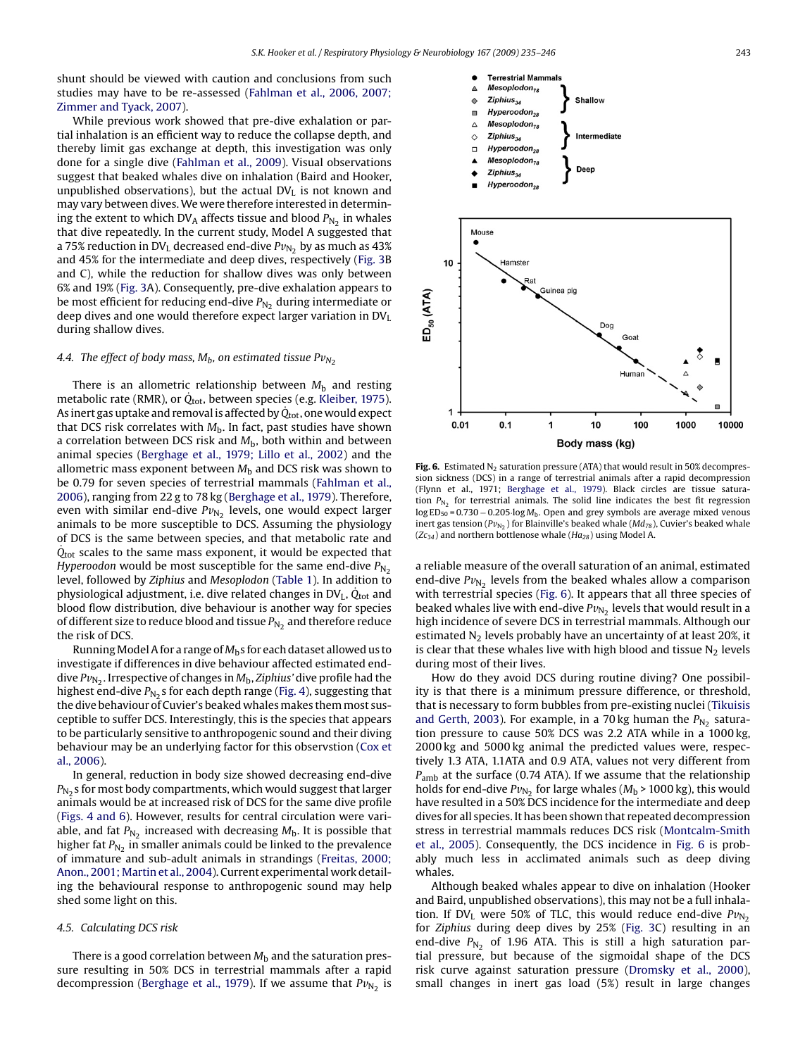shunt should be viewed with caution and conclusions from such studies may have to be re-assessed [\(Fahlman et al., 2006, 2007;](#page-10-0) [Zimmer and Tyack, 2007\).](#page-10-0)

While previous work showed that pre-dive exhalation or partial inhalation is an efficient way to reduce the collapse depth, and thereby limit gas exchange at depth, this investigation was only done for a single dive ([Fahlman et al., 2009\).](#page-10-0) Visual observations suggest that beaked whales dive on inhalation (Baird and Hooker, unpublished observations), but the actual  $DV<sub>I</sub>$  is not known and may vary between dives.We were therefore interested in determining the extent to which  $DV_A$  affects tissue and blood  $P_{N_2}$  in whales that dive repeatedly. In the current study, Model A suggested that a 75% reduction in DV<sub>L</sub> decreased end-dive  $Pv_{N_2}$  by as much as 43% and 45% for the intermediate and deep dives, respectively [\(Fig. 3B](#page-5-0) and C), while the reduction for shallow dives was only between 6% and 19% [\(Fig. 3A](#page-5-0)). Consequently, pre-dive exhalation appears to be most efficient for reducing end-dive  $P_{N_2}$  during intermediate or deep dives and one would therefore expect larger variation in  $DV<sub>L</sub>$ during shallow dives.

## 4.4. The effect of body mass,  $M_b$ , on estimated tissue  $Pv_{N_2}$

There is an allometric relationship between  $M<sub>b</sub>$  and resting metabolic rate (RMR), or  $\dot{Q}_{\text{tot}}$ , between species (e.g. [Kleiber, 1975\).](#page-10-0) As inert gas uptake and removal is affected by  $\dot{Q}_{tot}$ , one would expect that DCS risk correlates with  $M<sub>b</sub>$ . In fact, past studies have shown a correlation between DCS risk and  $M<sub>b</sub>$ , both within and between animal species [\(Berghage et al., 1979; Lillo et al., 2002\)](#page-10-0) and the allometric mass exponent between  $M<sub>b</sub>$  and DCS risk was shown to be 0.79 for seven species of terrestrial mammals ([Fahlman et al.,](#page-10-0) [2006\),](#page-10-0) ranging from 22 g to 78 kg ([Berghage et al., 1979\).](#page-10-0) Therefore, even with similar end-dive  $Pv_{N_2}$  levels, one would expect larger animals to be more susceptible to DCS. Assuming the physiology of DCS is the same between species, and that metabolic rate and  $\dot{Q}_{\text{tot}}$  scales to the same mass exponent, it would be expected that *Hyperoodon* would be most susceptible for the same end-dive  $P_{N_2}$ level, followed by *Ziphius* and *Mesoplodon* ([Table 1\).](#page-1-0) In addition to physiological adjustment, i.e. dive related changes in  $DV<sub>L</sub>$ ,  $Q<sub>tot</sub>$  and blood flow distribution, dive behaviour is another way for species of different size to reduce blood and tissue  $P_{N_2}$  and therefore reduce the risk of DCS.

RunningModel A for a range of *M*bs for each dataset allowed us to investigate if differences in dive behaviour affected estimated enddive  $Pv_{N_2}$ . Irrespective of changes in  $M_b$ , *Ziphius'* dive profile had the highest end-dive  $P_{N_2}$ s for each depth range ([Fig. 4\),](#page-5-0) suggesting that the dive behaviour of Cuvier's beaked whales makes them most susceptible to suffer DCS. Interestingly, this is the species that appears to be particularly sensitive to anthropogenic sound and their diving behaviour may be an underlying factor for this observstion ([Cox et](#page-10-0) [al., 2006\).](#page-10-0)

In general, reduction in body size showed decreasing end-dive  $P_{N<sub>2</sub>}$  s for most body compartments, which would suggest that larger animals would be at increased risk of DCS for the same dive profile ([Figs. 4 and 6\).](#page-5-0) However, results for central circulation were variable, and fat  $P_{N_2}$  increased with decreasing  $M_b$ . It is possible that higher fat  $P_{N_2}$  in smaller animals could be linked to the prevalence of immature and sub-adult animals in strandings [\(Freitas, 2000;](#page-10-0) [Anon., 2001; Martin et al., 2004\).](#page-10-0) Current experimental work detailing the behavioural response to anthropogenic sound may help shed some light on this.

#### *4.5. Calculating DCS risk*

There is a good correlation between  $M<sub>b</sub>$  and the saturation pressure resulting in 50% DCS in terrestrial mammals after a rapid decompression ([Berghage et al., 1979\).](#page-10-0) If we assume that  $Pv_{N_2}$  is



Fig. 6. Estimated N<sub>2</sub> saturation pressure (ATA) that would result in 50% decompression sickness (DCS) in a range of terrestrial animals after a rapid decompression (Flynn et al., 1971; [Berghage et al., 1979\).](#page-10-0) Black circles are tissue saturation  $P_{N_2}$  for terrestrial animals. The solid line indicates the best fit regression log ED<sub>50</sub> = 0.730 − 0.205 log M<sub>b</sub>. Open and grey symbols are average mixed venous inert gas tension ( $Pv_{N_2}$ ) for Blainville's beaked whale ( $Md_{78}$ ), Cuvier's beaked whale (*Zc34*) and northern bottlenose whale (*Ha28*) using Model A.

a reliable measure of the overall saturation of an animal, estimated end-dive  $Pv_{N_2}$  levels from the beaked whales allow a comparison with terrestrial species (Fig. 6). It appears that all three species of beaked whales live with end-dive  $Pv_{N_2}$  levels that would result in a high incidence of severe DCS in terrestrial mammals. Although our estimated  $N_2$  levels probably have an uncertainty of at least 20%, it is clear that these whales live with high blood and tissue  $N_2$  levels during most of their lives.

How do they avoid DCS during routine diving? One possibility is that there is a minimum pressure difference, or threshold, that is necessary to form bubbles from pre-existing nuclei ([Tikuisis](#page-11-0) [and Gerth, 2003\).](#page-11-0) For example, in a 70 kg human the  $P_{N_2}$  saturation pressure to cause 50% DCS was 2.2 ATA while in a 1000 kg, 2000 kg and 5000 kg animal the predicted values were, respectively 1.3 ATA, 1.1ATA and 0.9 ATA, values not very different from *P*amb at the surface (0.74 ATA). If we assume that the relationship holds for end-dive  $Pv_{N_2}$  for large whales ( $M_b$  > 1000 kg), this would have resulted in a 50% DCS incidence for the intermediate and deep dives for all species. It has been shown that repeated decompression stress in terrestrial mammals reduces DCS risk ([Montcalm-Smith](#page-11-0) [et al., 2005\).](#page-11-0) Consequently, the DCS incidence in Fig. 6 is probably much less in acclimated animals such as deep diving whales.

Although beaked whales appear to dive on inhalation (Hooker and Baird, unpublished observations), this may not be a full inhalation. If DV<sub>L</sub> were 50% of TLC, this would reduce end-dive  $Pv_{N_2}$ for *Ziphius* during deep dives by 25% [\(Fig. 3C](#page-5-0)) resulting in an end-dive  $P_{N_2}$  of 1.96 ATA. This is still a high saturation partial pressure, but because of the sigmoidal shape of the DCS risk curve against saturation pressure ([Dromsky et al., 2000\),](#page-10-0) small changes in inert gas load (5%) result in large changes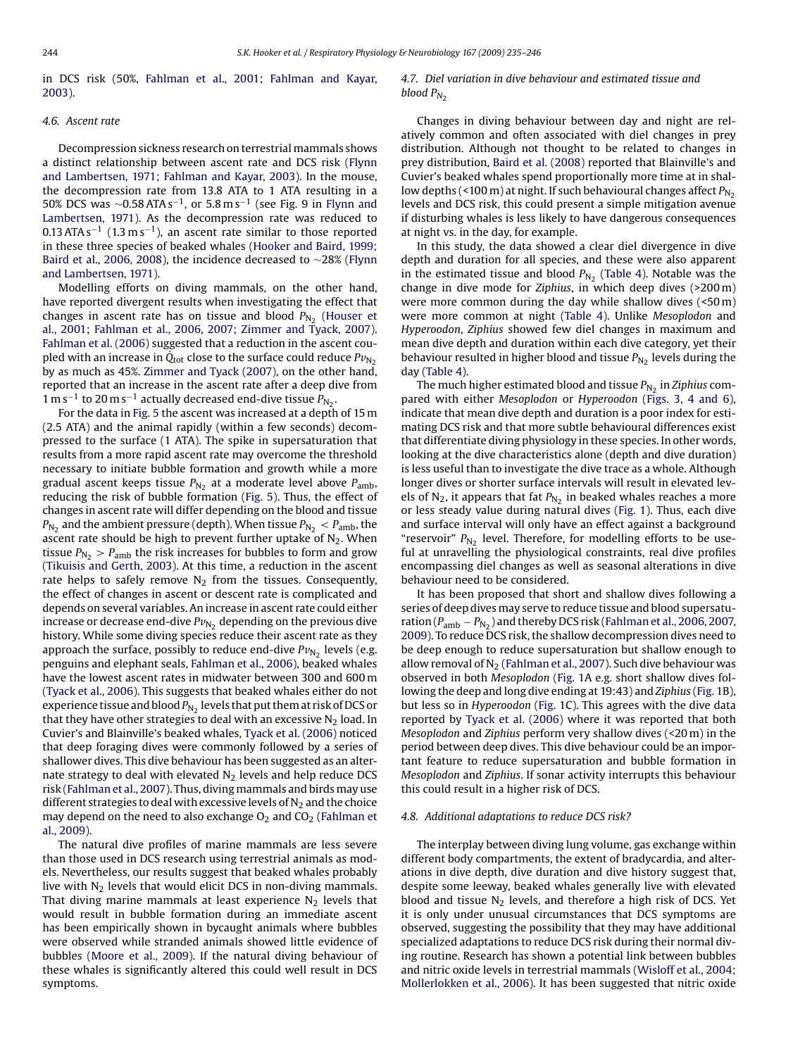in DCS risk (50%, [Fahlman et al., 2001; Fahlman and Kayar,](#page-10-0) [2003\).](#page-10-0)

## *4.6. Ascent rate*

Decompression sickness research on terrestrial mammals shows a distinct relationship between ascent rate and DCS risk [\(Flynn](#page-10-0) [and Lambertsen, 1971; Fahlman and Kayar, 2003\).](#page-10-0) In the mouse, the decompression rate from 13.8 ATA to 1 ATA resulting in a 50% DCS was  $\sim$ 0.58 ATA s<sup>-1</sup>, or 5.8 m s<sup>-1</sup> (see Fig. 9 in [Flynn and](#page-10-0) [Lambertsen, 1971\).](#page-10-0) As the decompression rate was reduced to 0.13 ATA s<sup>-1</sup> (1.3 m s<sup>-1</sup>), an ascent rate similar to those reported in these three species of beaked whales [\(Hooker and Baird, 1999;](#page-10-0) [Baird et al., 2006, 2008\),](#page-10-0) the incidence decreased to ∼28% [\(Flynn](#page-10-0) [and Lambertsen, 1971\).](#page-10-0)

Modelling efforts on diving mammals, on the other hand, have reported divergent results when investigating the effect that changes in ascent rate has on tissue and blood  $P_{N_2}$  ([Houser et](#page-10-0) [al., 2001; Fahlman et al., 2006, 2007; Zimmer and Tyack, 2007\).](#page-10-0) [Fahlman et al. \(2006\)](#page-10-0) suggested that a reduction in the ascent coupled with an increase in  $\dot{Q}_{\text{tot}}$  close to the surface could reduce  $Pv_{N_2}$ by as much as 45%. [Zimmer and Tyack \(2007\), o](#page-11-0)n the other hand, reported that an increase in the ascent rate after a deep dive from 1 m s<sup>-1</sup> to 20 m s<sup>-1</sup> actually decreased end-dive tissue  $P_{N_2}$ .

For the data in [Fig. 5](#page-6-0) the ascent was increased at a depth of 15 m (2.5 ATA) and the animal rapidly (within a few seconds) decompressed to the surface (1 ATA). The spike in supersaturation that results from a more rapid ascent rate may overcome the threshold necessary to initiate bubble formation and growth while a more gradual ascent keeps tissue  $P_{N_2}$  at a moderate level above  $P_{amb}$ , reducing the risk of bubble formation ([Fig. 5\).](#page-6-0) Thus, the effect of changes in ascent rate will differ depending on the blood and tissue  $P_{N_2}$  and the ambient pressure (depth). When tissue  $P_{N_2} < P_{amb}$ , the ascent rate should be high to prevent further uptake of  $N_2$ . When tissue  $P_{N_2} > P_{amb}$  the risk increases for bubbles to form and grow ([Tikuisis and Gerth, 2003\).](#page-11-0) At this time, a reduction in the ascent rate helps to safely remove  $N_2$  from the tissues. Consequently, the effect of changes in ascent or descent rate is complicated and depends on several variables. An increase in ascent rate could either increase or decrease end-dive  $Pv_{N_2}$  depending on the previous dive history. While some diving species reduce their ascent rate as they approach the surface, possibly to reduce end-dive  $Pv_{N_2}$  levels (e.g. penguins and elephant seals, [Fahlman et al., 2006\),](#page-10-0) beaked whales have the lowest ascent rates in midwater between 300 and 600 m ([Tyack et al., 2006\).](#page-11-0) This suggests that beaked whales either do not experience tissue and blood  $P_{N_2}$  levels that put them at risk of DCS or that they have other strategies to deal with an excessive  $N_2$  load. In Cuvier's and Blainville's beaked whales, [Tyack et al. \(2006\)](#page-11-0) noticed that deep foraging dives were commonly followed by a series of shallower dives. This dive behaviour has been suggested as an alternate strategy to deal with elevated  $N<sub>2</sub>$  levels and help reduce DCS risk [\(Fahlman et al., 2007\).](#page-10-0) Thus, diving mammals and birds may use different strategies to deal with excessive levels of  $N_2$  and the choice may depend on the need to also exchange  $O_2$  and  $CO_2$  [\(Fahlman et](#page-10-0) [al., 2009\).](#page-10-0)

The natural dive profiles of marine mammals are less severe than those used in DCS research using terrestrial animals as models. Nevertheless, our results suggest that beaked whales probably live with  $N<sub>2</sub>$  levels that would elicit DCS in non-diving mammals. That diving marine mammals at least experience  $N_2$  levels that would result in bubble formation during an immediate ascent has been empirically shown in bycaught animals where bubbles were observed while stranded animals showed little evidence of bubbles ([Moore et al., 2009\).](#page-11-0) If the natural diving behaviour of these whales is significantly altered this could well result in DCS symptoms.

### *4.7. Diel variation in dive behaviour and estimated tissue and blood*  $P_{N_2}$

Changes in diving behaviour between day and night are relatively common and often associated with diel changes in prey distribution. Although not thought to be related to changes in prey distribution, [Baird et al. \(2008\)](#page-10-0) reported that Blainville's and Cuvier's beaked whales spend proportionally more time at in shallow depths (<100 m) at night. If such behavioural changes affect  $P_{N_2}$ levels and DCS risk, this could present a simple mitigation avenue if disturbing whales is less likely to have dangerous consequences at night vs. in the day, for example.

In this study, the data showed a clear diel divergence in dive depth and duration for all species, and these were also apparent in the estimated tissue and blood  $P_{N_2}$  [\(Table 4\).](#page-7-0) Notable was the change in dive mode for *Ziphius*, in which deep dives (>200 m) were more common during the day while shallow dives (<50 m) were more common at night [\(Table 4\)](#page-7-0). Unlike *Mesoplodon* and *Hyperoodon*, *Ziphius* showed few diel changes in maximum and mean dive depth and duration within each dive category, yet their behaviour resulted in higher blood and tissue  $P_{N_2}$  levels during the day [\(Table 4\).](#page-7-0)

The much higher estimated blood and tissue  $P_{N_2}$  in *Ziphius* compared with either *Mesoplodon* or *Hyperoodon* ([Figs. 3, 4 and 6](#page-5-0)), indicate that mean dive depth and duration is a poor index for estimating DCS risk and that more subtle behavioural differences exist that differentiate diving physiology in these species. In other words, looking at the dive characteristics alone (depth and dive duration) is less useful than to investigate the dive trace as a whole. Although longer dives or shorter surface intervals will result in elevated levels of N<sub>2</sub>, it appears that fat  $P_{N_2}$  in beaked whales reaches a more or less steady value during natural dives ([Fig. 1\).](#page-3-0) Thus, each dive and surface interval will only have an effect against a background "reservoir"  $P_{N_2}$  level. Therefore, for modelling efforts to be useful at unravelling the physiological constraints, real dive profiles encompassing diel changes as well as seasonal alterations in dive behaviour need to be considered.

It has been proposed that short and shallow dives following a series of deep dives may serve to reduce tissue and blood supersaturation ( $P_{amb} - P_{N_2}$ ) and thereby DCS risk ([Fahlman et al., 2006, 2007,](#page-10-0) [2009\).](#page-10-0) To reduce DCS risk, the shallow decompression dives need to be deep enough to reduce supersaturation but shallow enough to allow removal of  $N_2$  ([Fahlman et al., 2007\).](#page-10-0) Such dive behaviour was observed in both *Mesoplodon* ([Fig. 1A](#page-3-0) e.g. short shallow dives following the deep and long dive ending at 19:43) and *Ziphius* ([Fig. 1B\)](#page-3-0), but less so in *Hyperoodon* ([Fig. 1C\)](#page-3-0). This agrees with the dive data reported by [Tyack et al. \(2006\)](#page-11-0) where it was reported that both *Mesoplodon* and *Ziphius* perform very shallow dives (<20 m) in the period between deep dives. This dive behaviour could be an important feature to reduce supersaturation and bubble formation in *Mesoplodon* and *Ziphius*. If sonar activity interrupts this behaviour this could result in a higher risk of DCS.

### *4.8. Additional adaptations to reduce DCS risk?*

The interplay between diving lung volume, gas exchange within different body compartments, the extent of bradycardia, and alterations in dive depth, dive duration and dive history suggest that, despite some leeway, beaked whales generally live with elevated blood and tissue  $N_2$  levels, and therefore a high risk of DCS. Yet it is only under unusual circumstances that DCS symptoms are observed, suggesting the possibility that they may have additional specialized adaptations to reduce DCS risk during their normal diving routine. Research has shown a potential link between bubbles and nitric oxide levels in terrestrial mammals ([Wisloff et al., 2004;](#page-11-0) [Mollerlokken et al., 2006\).](#page-11-0) It has been suggested that nitric oxide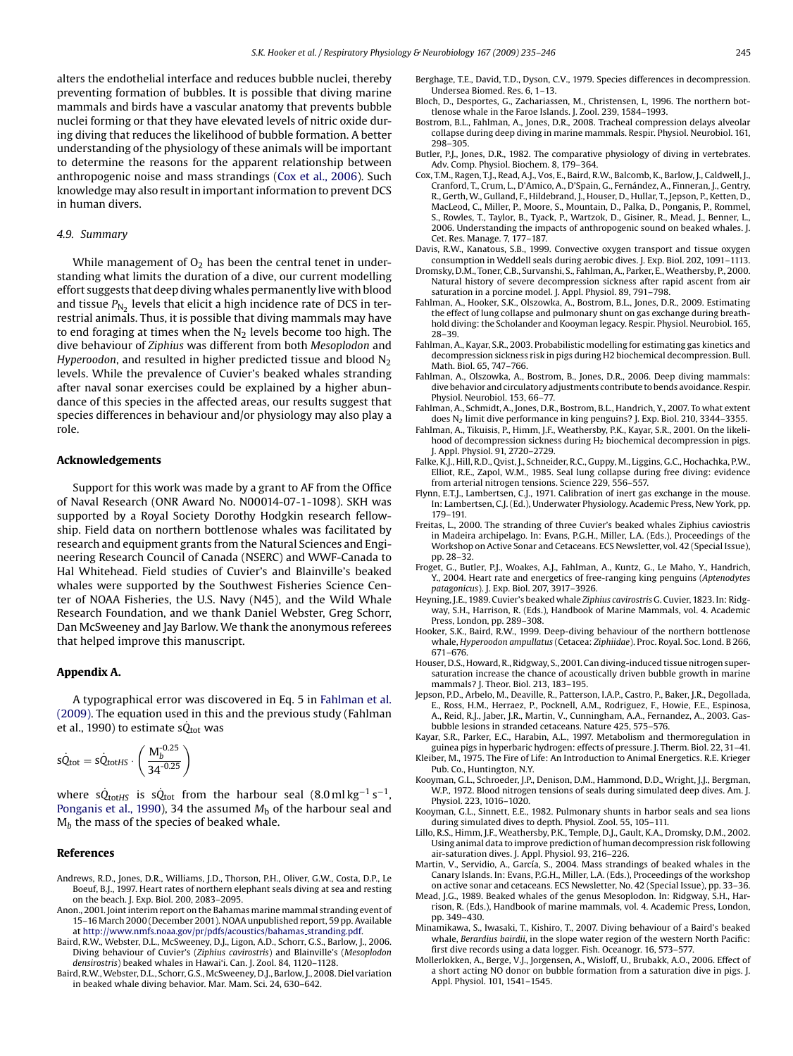<span id="page-10-0"></span>alters the endothelial interface and reduces bubble nuclei, thereby preventing formation of bubbles. It is possible that diving marine mammals and birds have a vascular anatomy that prevents bubble nuclei forming or that they have elevated levels of nitric oxide during diving that reduces the likelihood of bubble formation. A better understanding of the physiology of these animals will be important to determine the reasons for the apparent relationship between anthropogenic noise and mass strandings (Cox et al., 2006). Such knowledge may also result in important information to prevent DCS in human divers.

#### *4.9. Summary*

While management of  $O<sub>2</sub>$  has been the central tenet in understanding what limits the duration of a dive, our current modelling effort suggests that deep diving whales permanently live with blood and tissue  $P_{N_2}$  levels that elicit a high incidence rate of DCS in terrestrial animals. Thus, it is possible that diving mammals may have to end foraging at times when the  $N_2$  levels become too high. The dive behaviour of *Ziphius* was different from both *Mesoplodon* and *Hyperoodon*, and resulted in higher predicted tissue and blood N<sub>2</sub> levels. While the prevalence of Cuvier's beaked whales stranding after naval sonar exercises could be explained by a higher abundance of this species in the affected areas, our results suggest that species differences in behaviour and/or physiology may also play a role.

#### **Acknowledgements**

Support for this work was made by a grant to AF from the Office of Naval Research (ONR Award No. N00014-07-1-1098). SKH was supported by a Royal Society Dorothy Hodgkin research fellowship. Field data on northern bottlenose whales was facilitated by research and equipment grants from the Natural Sciences and Engineering Research Council of Canada (NSERC) and WWF-Canada to Hal Whitehead. Field studies of Cuvier's and Blainville's beaked whales were supported by the Southwest Fisheries Science Center of NOAA Fisheries, the U.S. Navy (N45), and the Wild Whale Research Foundation, and we thank Daniel Webster, Greg Schorr, Dan McSweeney and Jay Barlow. We thank the anonymous referees that helped improve this manuscript.

#### **Appendix A.**

A typographical error was discovered in Eq. 5 in Fahlman et al. (2009). The equation used in this and the previous study (Fahlman et al., 1990) to estimate s $\dot{Q}_{\text{tot}}$  was

$$
\dot{SQ}_{tot} = \dot{SQ}_{totHS} \cdot \left(\frac{M_b^{-0.25}}{34^{-0.25}}\right)
$$

where s $\dot{Q}_{\text{tot}HS}$  is s $\dot{Q}_{\text{tot}}$  from the harbour seal (8.0 ml kg<sup>-1</sup> s<sup>-1</sup>, [Ponganis et al., 1990\),](#page-11-0) 34 the assumed  $M<sub>b</sub>$  of the harbour seal and M<sub>b</sub> the mass of the species of beaked whale.

#### **References**

- Andrews, R.D., Jones, D.R., Williams, J.D., Thorson, P.H., Oliver, G.W., Costa, D.P., Le Boeuf, B.J., 1997. Heart rates of northern elephant seals diving at sea and resting on the beach. J. Exp. Biol. 200, 2083–2095.
- Anon., 2001. Joint interim report on the Bahamas marine mammal stranding event of 15–16 March 2000 (December 2001). NOAA unpublished report, 59 pp. Available at [http://www.nmfs.noaa.gov/pr/pdfs/acoustics/bahamas](http://www.nmfs.noaa.gov/pr/pdfs/acoustics/bahamas_stranding.pdf) stranding.pdf.
- Baird, R.W., Webster, D.L., McSweeney, D.J., Ligon, A.D., Schorr, G.S., Barlow, J., 2006. Diving behaviour of Cuvier's (*Ziphius cavirostris*) and Blainville's (*Mesoplodon densirostris*) beaked whales in Hawai'i. Can. J. Zool. 84, 1120–1128.
- Baird, R.W., Webster, D.L., Schorr, G.S., McSweeney, D.J., Barlow, J., 2008. Diel variation in beaked whale diving behavior. Mar. Mam. Sci. 24, 630–642.
- Berghage, T.E., David, T.D., Dyson, C.V., 1979. Species differences in decompression. Undersea Biomed. Res. 6, 1–13.
- Bloch, D., Desportes, G., Zachariassen, M., Christensen, I., 1996. The northern bottlenose whale in the Faroe Islands. J. Zool. 239, 1584–1993.
- Bostrom, B.L., Fahlman, A., Jones, D.R., 2008. Tracheal compression delays alveolar collapse during deep diving in marine mammals. Respir. Physiol. Neurobiol. 161, 298–305.
- Butler, P.J., Jones, D.R., 1982. The comparative physiology of diving in vertebrates. Adv. Comp. Physiol. Biochem. 8, 179–364.
- Cox, T.M., Ragen, T.J., Read, A.J., Vos, E., Baird, R.W., Balcomb, K., Barlow, J., Caldwell, J., Cranford, T., Crum, L., D'Amico, A., D'Spain, G., Fernández, A., Finneran, J., Gentry, R., Gerth, W., Gulland, F., Hildebrand, J., Houser, D., Hullar, T., Jepson, P., Ketten, D., MacLeod, C., Miller, P., Moore, S., Mountain, D., Palka, D., Ponganis, P., Rommel, S., Rowles, T., Taylor, B., Tyack, P., Wartzok, D., Gisiner, R., Mead, J., Benner, L., 2006. Understanding the impacts of anthropogenic sound on beaked whales. J. Cet. Res. Manage. 7, 177–187.
- Davis, R.W., Kanatous, S.B., 1999. Convective oxygen transport and tissue oxygen consumption in Weddell seals during aerobic dives. J. Exp. Biol. 202, 1091–1113.
- Dromsky, D.M., Toner, C.B., Survanshi, S., Fahlman, A., Parker, E.,Weathersby, P., 2000. Natural history of severe decompression sickness after rapid ascent from air saturation in a porcine model. J. Appl. Physiol. 89, 791–798.
- Fahlman, A., Hooker, S.K., Olszowka, A., Bostrom, B.L., Jones, D.R., 2009. Estimating the effect of lung collapse and pulmonary shunt on gas exchange during breathhold diving: the Scholander and Kooyman legacy. Respir. Physiol. Neurobiol. 165, 28–39.
- Fahlman, A., Kayar, S.R., 2003. Probabilistic modelling for estimating gas kinetics and decompression sickness risk in pigs during H2 biochemical decompression. Bull. Math. Biol. 65, 747–766.
- Fahlman, A., Olszowka, A., Bostrom, B., Jones, D.R., 2006. Deep diving mammals: dive behavior and circulatory adjustments contribute to bends avoidance. Respir. Physiol. Neurobiol. 153, 66–77.
- Fahlman, A., Schmidt, A., Jones, D.R., Bostrom, B.L., Handrich, Y., 2007. To what extent does N*<sup>2</sup>* limit dive performance in king penguins? J. Exp. Biol. 210, 3344–3355.
- Fahlman, A., Tikuisis, P., Himm, J.F., Weathersby, P.K., Kayar, S.R., 2001. On the likelihood of decompression sickness during H<sub>2</sub> biochemical decompression in pigs. J. Appl. Physiol. 91, 2720–2729.
- Falke, K.J., Hill, R.D., Qvist, J., Schneider, R.C., Guppy, M., Liggins, G.C., Hochachka, P.W., Elliot, R.E., Zapol, W.M., 1985. Seal lung collapse during free diving: evidence from arterial nitrogen tensions. Science 229, 556–557.
- Flynn, E.T.J., Lambertsen, C.J., 1971. Calibration of inert gas exchange in the mouse. In: Lambertsen, C.J. (Ed.), Underwater Physiology. Academic Press, New York, pp. 179–191.
- Freitas, L., 2000. The stranding of three Cuvier's beaked whales Ziphius caviostris in Madeira archipelago. In: Evans, P.G.H., Miller, L.A. (Eds.), Proceedings of the Workshop on Active Sonar and Cetaceans. ECS Newsletter, vol. 42 (Special Issue), pp. 28–32.
- Froget, G., Butler, P.J., Woakes, A.J., Fahlman, A., Kuntz, G., Le Maho, Y., Handrich, Y., 2004. Heart rate and energetics of free-ranging king penguins (*Aptenodytes patagonicus*). J. Exp. Biol. 207, 3917–3926.
- Heyning, J.E., 1989. Cuvier's beaked whale *Ziphius cavirostris* G. Cuvier, 1823. In: Ridgway, S.H., Harrison, R. (Eds.), Handbook of Marine Mammals, vol. 4. Academic Press, London, pp. 289–308.
- Hooker, S.K., Baird, R.W., 1999. Deep-diving behaviour of the northern bottlenose whale, *Hyperoodon ampullatus* (Cetacea: *Ziphiidae*). Proc. Royal. Soc. Lond. B 266, 671–676.
- Houser, D.S., Howard, R., Ridgway, S., 2001. Can diving-induced tissue nitrogen supersaturation increase the chance of acoustically driven bubble growth in marine mammals? J. Theor. Biol. 213, 183–195.
- Jepson, P.D., Arbelo, M., Deaville, R., Patterson, I.A.P., Castro, P., Baker, J.R., Degollada, E., Ross, H.M., Herraez, P., Pocknell, A.M., Rodriguez, F., Howie, F.E., Espinosa, A., Reid, R.J., Jaber, J.R., Martin, V., Cunningham, A.A., Fernandez, A., 2003. Gasbubble lesions in stranded cetaceans. Nature 425, 575–576.
- Kayar, S.R., Parker, E.C., Harabin, A.L., 1997. Metabolism and thermoregulation in guinea pigs in hyperbaric hydrogen: effects of pressure. J. Therm. Biol. 22, 31–41.
- Kleiber, M., 1975. The Fire of Life: An Introduction to Animal Energetics. R.E. Krieger Pub. Co., Huntington, N.Y.
- Kooyman, G.L., Schroeder, J.P., Denison, D.M., Hammond, D.D., Wright, J.J., Bergman, W.P., 1972. Blood nitrogen tensions of seals during simulated deep dives. Am. J. Physiol. 223, 1016–1020.
- Kooyman, G.L., Sinnett, E.E., 1982. Pulmonary shunts in harbor seals and sea lions during simulated dives to depth. Physiol. Zool. 55, 105–111.
- Lillo, R.S., Himm, J.F., Weathersby, P.K., Temple, D.J., Gault, K.A., Dromsky, D.M., 2002. Using animal data to improve prediction of human decompression risk following air-saturation dives. J. Appl. Physiol. 93, 216–226.
- Martin, V., Servidio, A., García, S., 2004. Mass strandings of beaked whales in the Canary Islands. In: Evans, P.G.H., Miller, L.A. (Eds.), Proceedings of the workshop on active sonar and cetaceans. ECS Newsletter, No. 42 (Special Issue), pp. 33–36.
- Mead, J.G., 1989. Beaked whales of the genus Mesoplodon. In: Ridgway, S.H., Harrison, R. (Eds.), Handbook of marine mammals, vol. 4. Academic Press, London, pp. 349–430.
- Minamikawa, S., Iwasaki, T., Kishiro, T., 2007. Diving behaviour of a Baird's beaked whale, *Berardius bairdii*, in the slope water region of the western North Pacific: first dive records using a data logger. Fish. Oceanogr. 16, 573–577.
- Mollerlokken, A., Berge, V.J., Jorgensen, A., Wisloff, U., Brubakk, A.O., 2006. Effect of a short acting NO donor on bubble formation from a saturation dive in pigs. J. Appl. Physiol. 101, 1541–1545.